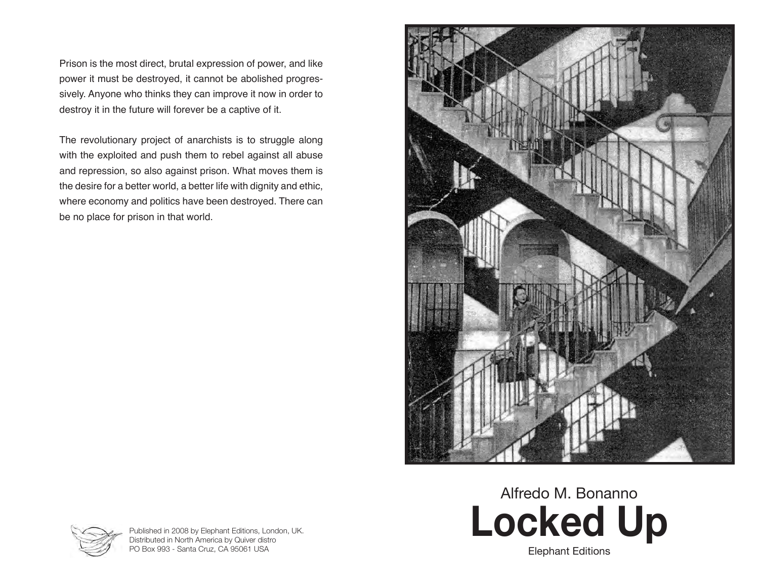Prison is the most direct, brutal expression of power, and like power it must be destroyed, it cannot be abolished progressively. Anyone who thinks they can improve it now in order to destroy it in the future will forever be a captive of it.

The revolutionary project of anarchists is to struggle along with the exploited and push them to rebel against all abuse and repression, so also against prison. What moves them is the desire for a better world, a better life with dignity and ethic, where economy and politics have been destroyed. There can be no place for prison in that world.



# **Locked Up** Alfredo M. Bonanno



Published in 2008 by Elephant Editions, London, UK. Distributed in North America by Quiver distro PO Box 993 - Santa Cruz, CA 95061 USA

Elephant Editions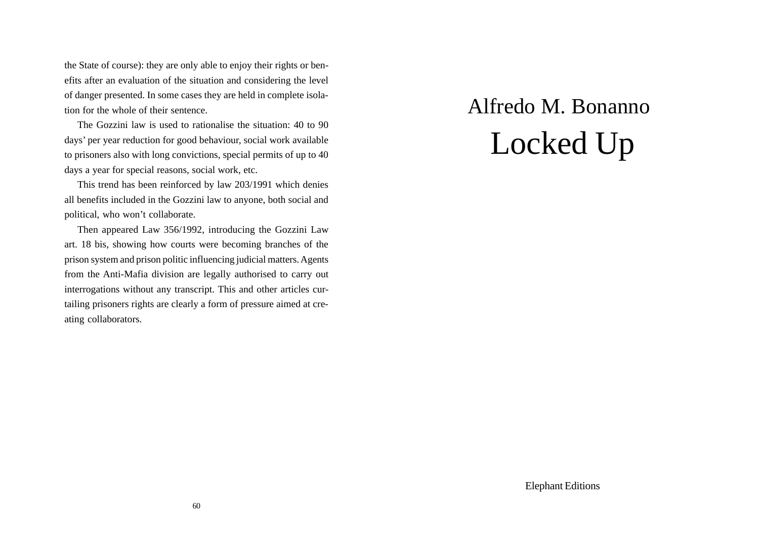the State of course): they are only able to enjoy their rights or benefits after an evaluation of the situation and considering the level of danger presented. In some cases they are held in complete isolation for the whole of their sentence.

The Gozzini law is used to rationalise the situation: 40 to 90 days' per year reduction for good behaviour, social work available to prisoners also with long convictions, special permits of up to 40 days a year for special reasons, social work, etc.

This trend has been reinforced by law 203/1991 which denies all benefits included in the Gozzini law to anyone, both social and political, who won't collaborate.

Then appeared Law 356/1992, introducing the Gozzini Law art. 18 bis, showing how courts were becoming branches of the prison system and prison politic influencing judicial matters. Agents from the Anti-Mafia division are legally authorised to carry out interrogations without any transcript. This and other articles curtailing prisoners rights are clearly a form of pressure aimed at creating collaborators.

## Alfredo M. Bonanno Locked Up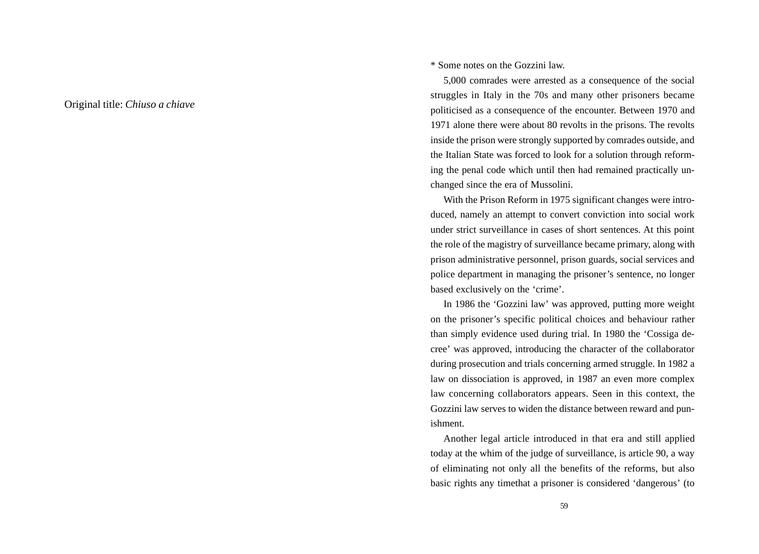Original title: *Chiuso a chiave*

\* Some notes on the Gozzini law.

5,000 comrades were arrested as a consequence of the social struggles in Italy in the 70s and many other prisoners became politicised as a consequence of the encounter. Between 1970 and 1971 alone there were about 80 revolts in the prisons. The revolts inside the prison were strongly supported by comrades outside, and the Italian State was forced to look for a solution through reforming the penal code which until then had remained practically unchanged since the era of Mussolini.

With the Prison Reform in 1975 significant changes were introduced, namely an attempt to convert conviction into social work under strict surveillance in cases of short sentences. At this point the role of the magistry of surveillance became primary, along with prison administrative personnel, prison guards, social services and police department in managing the prisoner's sentence, no longer based exclusively on the 'crime'.

In 1986 the 'Gozzini law' was approved, putting more weight on the prisoner's specific political choices and behaviour rather than simply evidence used during trial. In 1980 the 'Cossiga decree' was approved, introducing the character of the collaborator during prosecution and trials concerning armed struggle. In 1982 a law on dissociation is approved, in 1987 an even more complex law concerning collaborators appears. Seen in this context, the Gozzini law serves to widen the distance between reward and punishment.

Another legal article introduced in that era and still applied today at the whim of the judge of surveillance, is article 90, a way of eliminating not only all the benefits of the reforms, but also basic rights any timethat a prisoner is considered 'dangerous' (to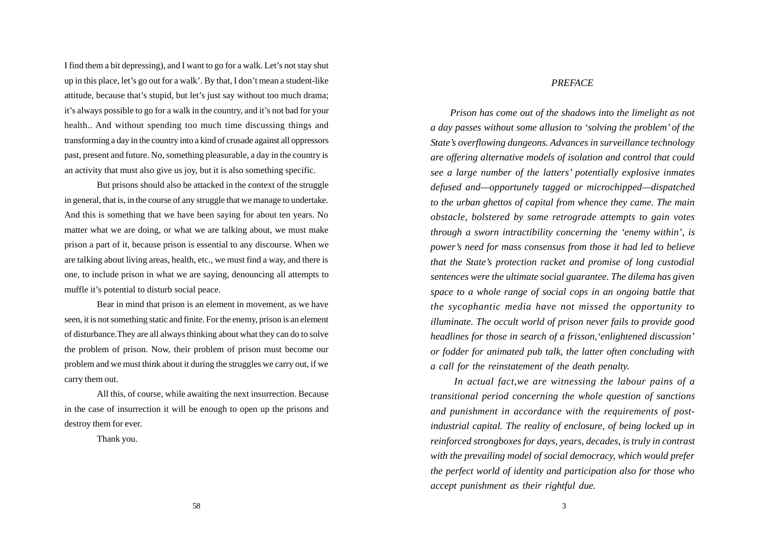I find them a bit depressing), and I want to go for a walk. Let's not stay shut up in this place, let's go out for a walk'. By that, I don't mean a student-like attitude, because that's stupid, but let's just say without too much drama; it's always possible to go for a walk in the country, and it's not bad for your health.. And without spending too much time discussing things and transforming a day in the country into a kind of crusade against all oppressors past, present and future. No, something pleasurable, a day in the country is an activity that must also give us joy, but it is also something specific.

But prisons should also be attacked in the context of the struggle in general, that is, in the course of any struggle that we manage to undertake. And this is something that we have been saying for about ten years. No matter what we are doing, or what we are talking about, we must make prison a part of it, because prison is essential to any discourse. When we are talking about living areas, health, etc., we must find a way, and there is one, to include prison in what we are saying, denouncing all attempts to muffle it's potential to disturb social peace.

Bear in mind that prison is an element in movement, as we have seen, it is not something static and finite. For the enemy, prison is an element of disturbance.They are all always thinking about what they can do to solve the problem of prison. Now, their problem of prison must become our problem and we must think about it during the struggles we carry out, if we carry them out.

All this, of course, while awaiting the next insurrection. Because in the case of insurrection it will be enough to open up the prisons and destroy them for ever.

Thank you.

#### *PREFACE*

*Prison has come out of the shadows into the limelight as not a day passes without some allusion to 'solving the problem' of the State's overflowing dungeons. Advances in surveillance technology are offering alternative models of isolation and control that could see a large number of the latters' potentially explosive inmates defused and—opportunely tagged or microchipped—dispatched to the urban ghettos of capital from whence they came. The main obstacle, bolstered by some retrograde attempts to gain votes through a sworn intractibility concerning the 'enemy within', is power's need for mass consensus from those it had led to believe that the State's protection racket and promise of long custodial sentences were the ultimate social guarantee. The dilema has given space to a whole range of social cops in an ongoing battle that the sycophantic media have not missed the opportunity to illuminate. The occult world of prison never fails to provide good headlines for those in search of a frisson,'enlightened discussion' or fodder for animated pub talk, the latter often concluding with a call for the reinstatement of the death penalty.*

 *In actual fact,we are witnessing the labour pains of a transitional period concerning the whole question of sanctions and punishment in accordance with the requirements of postindustrial capital. The reality of enclosure, of being locked up in reinforced strongboxes for days, years, decades, is truly in contrast with the prevailing model of social democracy, which would prefer the perfect world of identity and participation also for those who accept punishment as their rightful due.*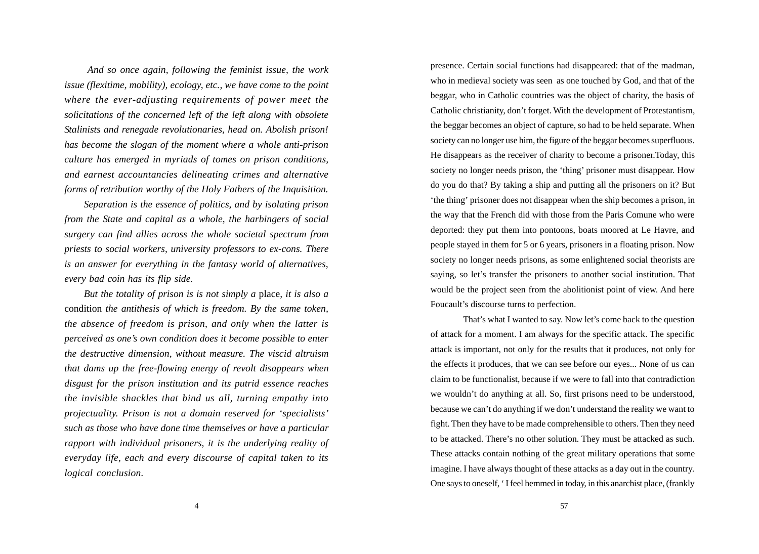*And so once again, following the feminist issue, the work issue (flexitime, mobility), ecology, etc., we have come to the point where the ever-adjusting requirements of power meet the solicitations of the concerned left of the left along with obsolete Stalinists and renegade revolutionaries, head on. Abolish prison! has become the slogan of the moment where a whole anti-prison culture has emerged in myriads of tomes on prison conditions, and earnest accountancies delineating crimes and alternative forms of retribution worthy of the Holy Fathers of the Inquisition.*

*Separation is the essence of politics, and by isolating prison from the State and capital as a whole, the harbingers of social surgery can find allies across the whole societal spectrum from priests to social workers, university professors to ex-cons. There is an answer for everything in the fantasy world of alternatives, every bad coin has its flip side.*

*But the totality of prison is is not simply a* place*, it is also a* condition *the antithesis of which is freedom. By the same token, the absence of freedom is prison, and only when the latter is perceived as one's own condition does it become possible to enter the destructive dimension, without measure. The viscid altruism that dams up the free-flowing energy of revolt disappears when disgust for the prison institution and its putrid essence reaches the invisible shackles that bind us all, turning empathy into projectuality. Prison is not a domain reserved for 'specialists' such as those who have done time themselves or have a particular rapport with individual prisoners, it is the underlying reality of everyday life, each and every discourse of capital taken to its logical conclusion.*

presence. Certain social functions had disappeared: that of the madman, who in medieval society was seen as one touched by God, and that of the beggar, who in Catholic countries was the object of charity, the basis of Catholic christianity, don't forget. With the development of Protestantism, the beggar becomes an object of capture, so had to be held separate. When society can no longer use him, the figure of the beggar becomes superfluous. He disappears as the receiver of charity to become a prisoner.Today, this society no longer needs prison, the 'thing' prisoner must disappear. How do you do that? By taking a ship and putting all the prisoners on it? But 'the thing' prisoner does not disappear when the ship becomes a prison, in the way that the French did with those from the Paris Comune who were deported: they put them into pontoons, boats moored at Le Havre, and people stayed in them for 5 or 6 years, prisoners in a floating prison. Now society no longer needs prisons, as some enlightened social theorists are saying, so let's transfer the prisoners to another social institution. That would be the project seen from the abolitionist point of view. And here Foucault's discourse turns to perfection.

That's what I wanted to say. Now let's come back to the question of attack for a moment. I am always for the specific attack. The specific attack is important, not only for the results that it produces, not only for the effects it produces, that we can see before our eyes... None of us can claim to be functionalist, because if we were to fall into that contradiction we wouldn't do anything at all. So, first prisons need to be understood, because we can't do anything if we don't understand the reality we want to fight. Then they have to be made comprehensible to others. Then they need to be attacked. There's no other solution. They must be attacked as such. These attacks contain nothing of the great military operations that some imagine. I have always thought of these attacks as a day out in the country. One says to oneself, ' I feel hemmed in today, in this anarchist place, (frankly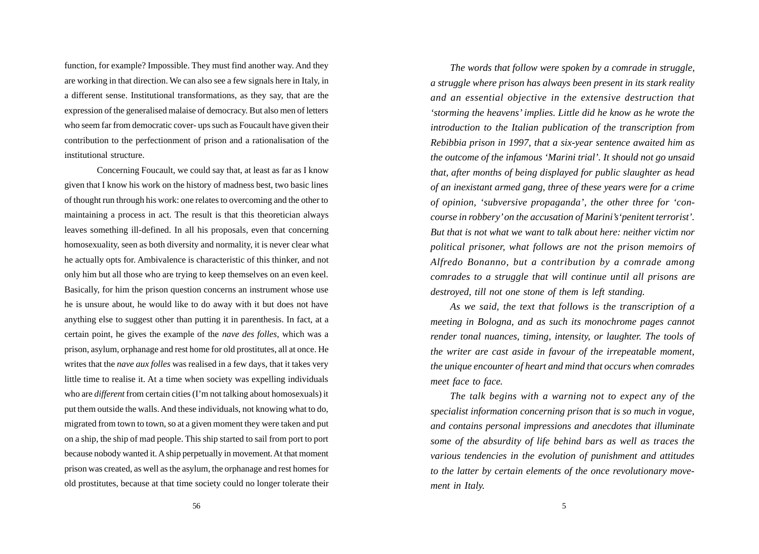function, for example? Impossible. They must find another way. And they are working in that direction. We can also see a few signals here in Italy, in a different sense. Institutional transformations, as they say, that are the expression of the generalised malaise of democracy. But also men of letters who seem far from democratic cover- ups such as Foucault have given their contribution to the perfectionment of prison and a rationalisation of the institutional structure.

Concerning Foucault, we could say that, at least as far as I know given that I know his work on the history of madness best, two basic lines of thought run through his work: one relates to overcoming and the other to maintaining a process in act. The result is that this theoretician always leaves something ill-defined. In all his proposals, even that concerning homosexuality, seen as both diversity and normality, it is never clear what he actually opts for. Ambivalence is characteristic of this thinker, and not only him but all those who are trying to keep themselves on an even keel. Basically, for him the prison question concerns an instrument whose use he is unsure about, he would like to do away with it but does not have anything else to suggest other than putting it in parenthesis. In fact, at a certain point, he gives the example of the *nave des folles*, which was a prison, asylum, orphanage and rest home for old prostitutes, all at once. He writes that the *nave aux folles* was realised in a few days, that it takes very little time to realise it. At a time when society was expelling individuals who are *different* from certain cities (I'm not talking about homosexuals) it put them outside the walls. And these individuals, not knowing what to do, migrated from town to town, so at a given moment they were taken and put on a ship, the ship of mad people. This ship started to sail from port to port because nobody wanted it. A ship perpetually in movement. At that moment prison was created, as well as the asylum, the orphanage and rest homes for old prostitutes, because at that time society could no longer tolerate their

*The words that follow were spoken by a comrade in struggle, a struggle where prison has always been present in its stark reality and an essential objective in the extensive destruction that 'storming the heavens' implies. Little did he know as he wrote the introduction to the Italian publication of the transcription from Rebibbia prison in 1997, that a six-year sentence awaited him as the outcome of the infamous 'Marini trial'. It should not go unsaid that, after months of being displayed for public slaughter as head of an inexistant armed gang, three of these years were for a crime of opinion, 'subversive propaganda', the other three for 'concourse in robbery' on the accusation of Marini's'penitent terrorist'. But that is not what we want to talk about here: neither victim nor political prisoner, what follows are not the prison memoirs of Alfredo Bonanno, but a contribution by a comrade among comrades to a struggle that will continue until all prisons are destroyed, till not one stone of them is left standing.*

*As we said, the text that follows is the transcription of a meeting in Bologna, and as such its monochrome pages cannot render tonal nuances, timing, intensity, or laughter. The tools of the writer are cast aside in favour of the irrepeatable moment, the unique encounter of heart and mind that occurs when comrades meet face to face.*

*The talk begins with a warning not to expect any of the specialist information concerning prison that is so much in vogue, and contains personal impressions and anecdotes that illuminate some of the absurdity of life behind bars as well as traces the various tendencies in the evolution of punishment and attitudes to the latter by certain elements of the once revolutionary movement in Italy.*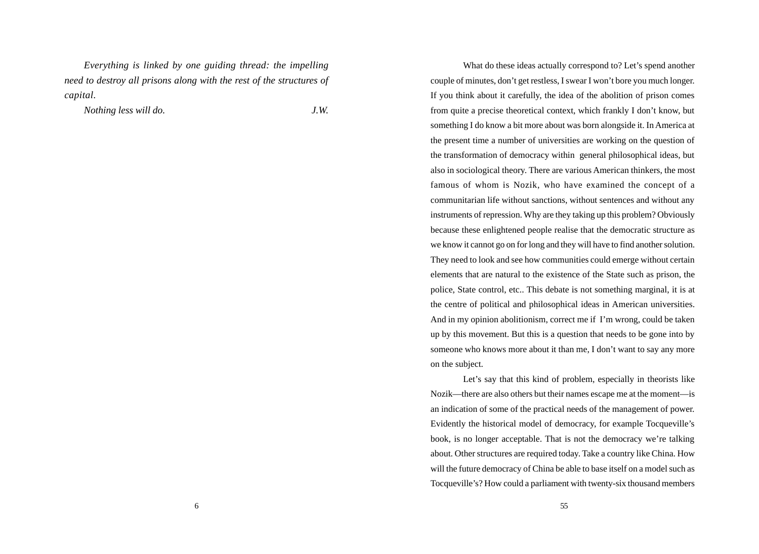*Everything is linked by one guiding thread: the impelling need to destroy all prisons along with the rest of the structures of capital.*

*Nothing less will do. J.W.*

What do these ideas actually correspond to? Let's spend another couple of minutes, don't get restless, I swear I won't bore you much longer. If you think about it carefully, the idea of the abolition of prison comes from quite a precise theoretical context, which frankly I don't know, but something I do know a bit more about was born alongside it. In America at the present time a number of universities are working on the question of the transformation of democracy within general philosophical ideas, but also in sociological theory. There are various American thinkers, the most famous of whom is Nozik, who have examined the concept of a communitarian life without sanctions, without sentences and without any instruments of repression. Why are they taking up this problem? Obviously because these enlightened people realise that the democratic structure as we know it cannot go on for long and they will have to find another solution. They need to look and see how communities could emerge without certain elements that are natural to the existence of the State such as prison, the police, State control, etc.. This debate is not something marginal, it is at the centre of political and philosophical ideas in American universities. And in my opinion abolitionism, correct me if I'm wrong, could be taken up by this movement. But this is a question that needs to be gone into by someone who knows more about it than me, I don't want to say any more on the subject.

Let's say that this kind of problem, especially in theorists like Nozik—there are also others but their names escape me at the moment—is an indication of some of the practical needs of the management of power. Evidently the historical model of democracy, for example Tocqueville's book, is no longer acceptable. That is not the democracy we're talking about. Other structures are required today. Take a country like China. How will the future democracy of China be able to base itself on a model such as Tocqueville's? How could a parliament with twenty-six thousand members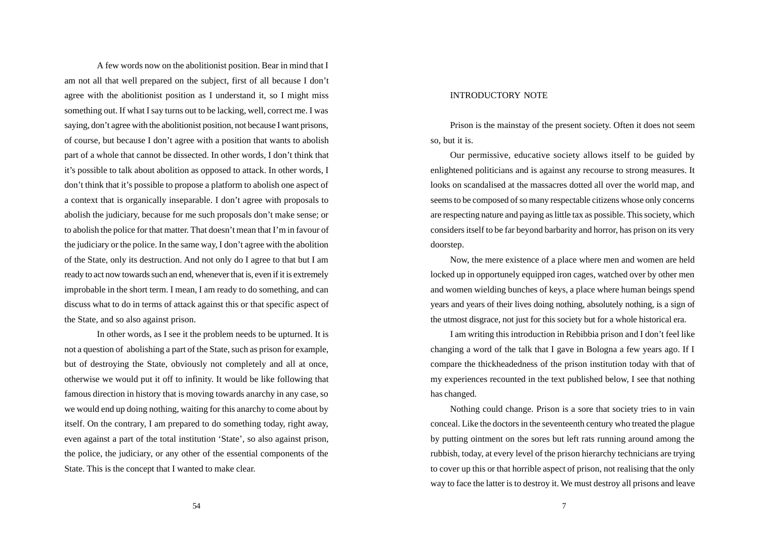A few words now on the abolitionist position. Bear in mind that I am not all that well prepared on the subject, first of all because I don't agree with the abolitionist position as I understand it, so I might miss something out. If what I say turns out to be lacking, well, correct me. I was saying, don't agree with the abolitionist position, not because I want prisons, of course, but because I don't agree with a position that wants to abolish part of a whole that cannot be dissected. In other words, I don't think that it's possible to talk about abolition as opposed to attack. In other words, I don't think that it's possible to propose a platform to abolish one aspect of a context that is organically inseparable. I don't agree with proposals to abolish the judiciary, because for me such proposals don't make sense; or to abolish the police for that matter. That doesn't mean that I'm in favour of the judiciary or the police. In the same way, I don't agree with the abolition of the State, only its destruction. And not only do I agree to that but I am ready to act now towards such an end, whenever that is, even if it is extremely improbable in the short term. I mean, I am ready to do something, and can discuss what to do in terms of attack against this or that specific aspect of the State, and so also against prison.

In other words, as I see it the problem needs to be upturned. It is not a question of abolishing a part of the State, such as prison for example, but of destroying the State, obviously not completely and all at once, otherwise we would put it off to infinity. It would be like following that famous direction in history that is moving towards anarchy in any case, so we would end up doing nothing, waiting for this anarchy to come about by itself. On the contrary, I am prepared to do something today, right away, even against a part of the total institution 'State', so also against prison, the police, the judiciary, or any other of the essential components of the State. This is the concept that I wanted to make clear.

#### INTRODUCTORY NOTE

Prison is the mainstay of the present society. Often it does not seem so, but it is.

Our permissive, educative society allows itself to be guided by enlightened politicians and is against any recourse to strong measures. It looks on scandalised at the massacres dotted all over the world map, and seems to be composed of so many respectable citizens whose only concerns are respecting nature and paying as little tax as possible. This society, which considers itself to be far beyond barbarity and horror, has prison on its very doorstep.

Now, the mere existence of a place where men and women are held locked up in opportunely equipped iron cages, watched over by other men and women wielding bunches of keys, a place where human beings spend years and years of their lives doing nothing, absolutely nothing, is a sign of the utmost disgrace, not just for this society but for a whole historical era.

I am writing this introduction in Rebibbia prison and I don't feel like changing a word of the talk that I gave in Bologna a few years ago. If I compare the thickheadedness of the prison institution today with that of my experiences recounted in the text published below, I see that nothing has changed.

Nothing could change. Prison is a sore that society tries to in vain conceal. Like the doctors in the seventeenth century who treated the plague by putting ointment on the sores but left rats running around among the rubbish, today, at every level of the prison hierarchy technicians are trying to cover up this or that horrible aspect of prison, not realising that the only way to face the latter is to destroy it. We must destroy all prisons and leave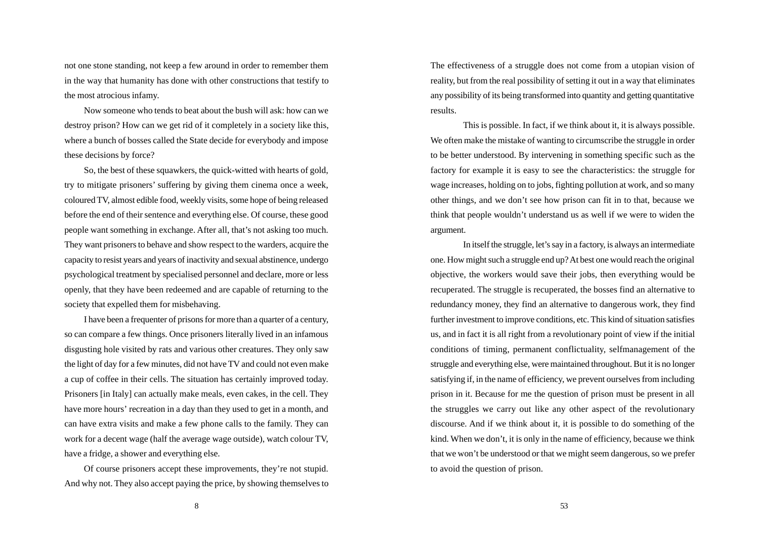not one stone standing, not keep a few around in order to remember them in the way that humanity has done with other constructions that testify to the most atrocious infamy.

Now someone who tends to beat about the bush will ask: how can we destroy prison? How can we get rid of it completely in a society like this, where a bunch of bosses called the State decide for everybody and impose these decisions by force?

So, the best of these squawkers, the quick-witted with hearts of gold, try to mitigate prisoners' suffering by giving them cinema once a week, coloured TV, almost edible food, weekly visits, some hope of being released before the end of their sentence and everything else. Of course, these good people want something in exchange. After all, that's not asking too much. They want prisoners to behave and show respect to the warders, acquire the capacity to resist years and years of inactivity and sexual abstinence, undergo psychological treatment by specialised personnel and declare, more or less openly, that they have been redeemed and are capable of returning to the society that expelled them for misbehaving.

I have been a frequenter of prisons for more than a quarter of a century, so can compare a few things. Once prisoners literally lived in an infamous disgusting hole visited by rats and various other creatures. They only saw the light of day for a few minutes, did not have TV and could not even make a cup of coffee in their cells. The situation has certainly improved today. Prisoners [in Italy] can actually make meals, even cakes, in the cell. They have more hours' recreation in a day than they used to get in a month, and can have extra visits and make a few phone calls to the family. They can work for a decent wage (half the average wage outside), watch colour TV, have a fridge, a shower and everything else.

Of course prisoners accept these improvements, they're not stupid. And why not. They also accept paying the price, by showing themselves to The effectiveness of a struggle does not come from a utopian vision of reality, but from the real possibility of setting it out in a way that eliminates any possibility of its being transformed into quantity and getting quantitative results.

This is possible. In fact, if we think about it, it is always possible. We often make the mistake of wanting to circumscribe the struggle in order to be better understood. By intervening in something specific such as the factory for example it is easy to see the characteristics: the struggle for wage increases, holding on to jobs, fighting pollution at work, and so many other things, and we don't see how prison can fit in to that, because we think that people wouldn't understand us as well if we were to widen the argument.

In itself the struggle, let's say in a factory, is always an intermediate one. How might such a struggle end up? At best one would reach the original objective, the workers would save their jobs, then everything would be recuperated. The struggle is recuperated, the bosses find an alternative to redundancy money, they find an alternative to dangerous work, they find further investment to improve conditions, etc. This kind of situation satisfies us, and in fact it is all right from a revolutionary point of view if the initial conditions of timing, permanent conflictuality, selfmanagement of the struggle and everything else, were maintained throughout. But it is no longer satisfying if, in the name of efficiency, we prevent ourselves from including prison in it. Because for me the question of prison must be present in all the struggles we carry out like any other aspect of the revolutionary discourse. And if we think about it, it is possible to do something of the kind. When we don't, it is only in the name of efficiency, because we think that we won't be understood or that we might seem dangerous, so we prefer to avoid the question of prison.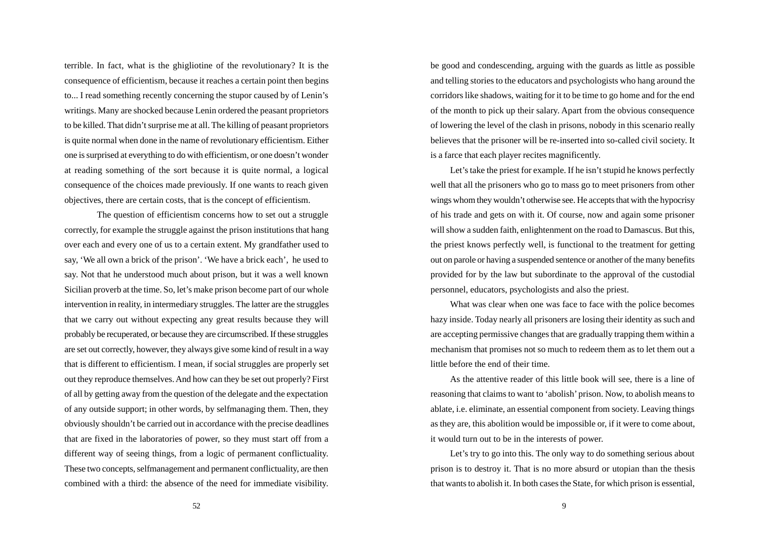terrible. In fact, what is the ghigliotine of the revolutionary? It is the consequence of efficientism, because it reaches a certain point then begins to... I read something recently concerning the stupor caused by of Lenin's writings. Many are shocked because Lenin ordered the peasant proprietors to be killed. That didn't surprise me at all. The killing of peasant proprietors is quite normal when done in the name of revolutionary efficientism. Either one is surprised at everything to do with efficientism, or one doesn't wonder at reading something of the sort because it is quite normal, a logical consequence of the choices made previously. If one wants to reach given objectives, there are certain costs, that is the concept of efficientism.

The question of efficientism concerns how to set out a struggle correctly, for example the struggle against the prison institutions that hang over each and every one of us to a certain extent. My grandfather used to say, 'We all own a brick of the prison'. 'We have a brick each', he used to say. Not that he understood much about prison, but it was a well known Sicilian proverb at the time. So, let's make prison become part of our whole intervention in reality, in intermediary struggles. The latter are the struggles that we carry out without expecting any great results because they will probably be recuperated, or because they are circumscribed. If these struggles are set out correctly, however, they always give some kind of result in a way that is different to efficientism. I mean, if social struggles are properly set out they reproduce themselves. And how can they be set out properly? First of all by getting away from the question of the delegate and the expectation of any outside support; in other words, by selfmanaging them. Then, they obviously shouldn't be carried out in accordance with the precise deadlines that are fixed in the laboratories of power, so they must start off from a different way of seeing things, from a logic of permanent conflictuality. These two concepts, selfmanagement and permanent conflictuality, are then combined with a third: the absence of the need for immediate visibility. be good and condescending, arguing with the guards as little as possible and telling stories to the educators and psychologists who hang around the corridors like shadows, waiting for it to be time to go home and for the end of the month to pick up their salary. Apart from the obvious consequence of lowering the level of the clash in prisons, nobody in this scenario really believes that the prisoner will be re-inserted into so-called civil society. It is a farce that each player recites magnificently.

Let's take the priest for example. If he isn't stupid he knows perfectly well that all the prisoners who go to mass go to meet prisoners from other wings whom they wouldn't otherwise see. He accepts that with the hypocrisy of his trade and gets on with it. Of course, now and again some prisoner will show a sudden faith, enlightenment on the road to Damascus. But this, the priest knows perfectly well, is functional to the treatment for getting out on parole or having a suspended sentence or another of the many benefits provided for by the law but subordinate to the approval of the custodial personnel, educators, psychologists and also the priest.

What was clear when one was face to face with the police becomes hazy inside. Today nearly all prisoners are losing their identity as such and are accepting permissive changes that are gradually trapping them within a mechanism that promises not so much to redeem them as to let them out a little before the end of their time.

As the attentive reader of this little book will see, there is a line of reasoning that claims to want to 'abolish' prison. Now, to abolish means to ablate, i.e. eliminate, an essential component from society. Leaving things as they are, this abolition would be impossible or, if it were to come about, it would turn out to be in the interests of power.

Let's try to go into this. The only way to do something serious about prison is to destroy it. That is no more absurd or utopian than the thesis that wants to abolish it. In both cases the State, for which prison is essential,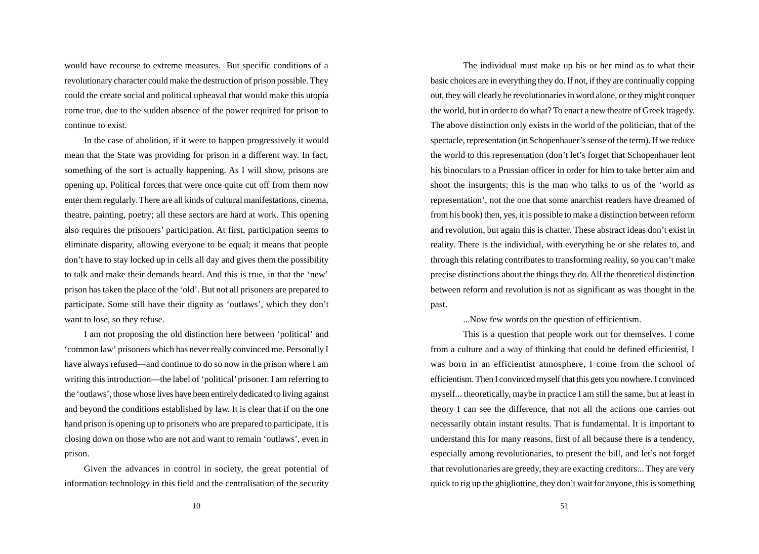would have recourse to extreme measures. But specific conditions of a revolutionary character could make the destruction of prison possible. They could the create social and political upheaval that would make this utopia come true, due to the sudden absence of the power required for prison to continue to exist.

In the case of abolition, if it were to happen progressively it would mean that the State was providing for prison in a different way. In fact, something of the sort is actually happening. As I will show, prisons are opening up. Political forces that were once quite cut off from them now enter them regularly. There are all kinds of cultural manifestations, cinema, theatre, painting, poetry; all these sectors are hard at work. This opening also requires the prisoners' participation. At first, participation seems to eliminate disparity, allowing everyone to be equal; it means that people don't have to stay locked up in cells all day and gives them the possibility to talk and make their demands heard. And this is true, in that the 'new' prison has taken the place of the 'old'. But not all prisoners are prepared to participate. Some still have their dignity as 'outlaws', which they don't want to lose, so they refuse.

I am not proposing the old distinction here between 'political' and 'common law' prisoners which has never really convinced me. Personally I have always refused—and continue to do so now in the prison where I am writing this introduction—the label of 'political' prisoner. I am referring to the 'outlaws', those whose lives have been entirely dedicated to living against and beyond the conditions established by law. It is clear that if on the one hand prison is opening up to prisoners who are prepared to participate, it is closing down on those who are not and want to remain 'outlaws', even in prison.

Given the advances in control in society, the great potential of information technology in this field and the centralisation of the security

The individual must make up his or her mind as to what their basic choices are in everything they do. If not, if they are continually copping out, they will clearly be revolutionaries in word alone, or they might conquer the world, but in order to do what? To enact a new theatre of Greek tragedy. The above distinction only exists in the world of the politician, that of the spectacle, representation (in Schopenhauer's sense of the term). If we reduce the world to this representation (don't let's forget that Schopenhauer lent his binoculars to a Prussian officer in order for him to take better aim and shoot the insurgents; this is the man who talks to us of the 'world as representation', not the one that some anarchist readers have dreamed of from his book) then, yes, it is possible to make a distinction between reform and revolution, but again this is chatter. These abstract ideas don't exist in reality. There is the individual, with everything he or she relates to, and through this relating contributes to transforming reality, so you can't make precise distinctions about the things they do. All the theoretical distinction between reform and revolution is not as significant as was thought in the past.

...Now few words on the question of efficientism.

This is a question that people work out for themselves. I come from a culture and a way of thinking that could be defined efficientist, I was born in an efficientist atmosphere, I come from the school of efficientism. Then I convinced myself that this gets you nowhere. I convinced myself... theoretically, maybe in practice I am still the same, but at least in theory I can see the difference, that not all the actions one carries out necessarily obtain instant results. That is fundamental. It is important to understand this for many reasons, first of all because there is a tendency, especially among revolutionaries, to present the bill, and let's not forget that revolutionaries are greedy, they are exacting creditors... They are very quick to rig up the ghigliottine, they don't wait for anyone, this is something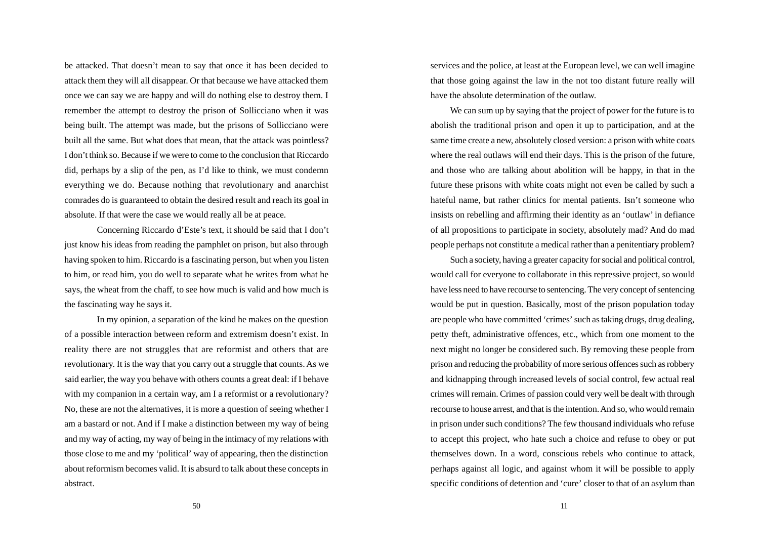be attacked. That doesn't mean to say that once it has been decided to attack them they will all disappear. Or that because we have attacked them once we can say we are happy and will do nothing else to destroy them. I remember the attempt to destroy the prison of Sollicciano when it was being built. The attempt was made, but the prisons of Sollicciano were built all the same. But what does that mean, that the attack was pointless? I don't think so. Because if we were to come to the conclusion that Riccardo did, perhaps by a slip of the pen, as I'd like to think, we must condemn everything we do. Because nothing that revolutionary and anarchist comrades do is guaranteed to obtain the desired result and reach its goal in absolute. If that were the case we would really all be at peace.

Concerning Riccardo d'Este's text, it should be said that I don't just know his ideas from reading the pamphlet on prison, but also through having spoken to him. Riccardo is a fascinating person, but when you listen to him, or read him, you do well to separate what he writes from what he says, the wheat from the chaff, to see how much is valid and how much is the fascinating way he says it.

In my opinion, a separation of the kind he makes on the question of a possible interaction between reform and extremism doesn't exist. In reality there are not struggles that are reformist and others that are revolutionary. It is the way that you carry out a struggle that counts. As we said earlier, the way you behave with others counts a great deal: if I behave with my companion in a certain way, am I a reformist or a revolutionary? No, these are not the alternatives, it is more a question of seeing whether I am a bastard or not. And if I make a distinction between my way of being and my way of acting, my way of being in the intimacy of my relations with those close to me and my 'political' way of appearing, then the distinction about reformism becomes valid. It is absurd to talk about these concepts in abstract.

services and the police, at least at the European level, we can well imagine that those going against the law in the not too distant future really will have the absolute determination of the outlaw.

We can sum up by saying that the project of power for the future is to abolish the traditional prison and open it up to participation, and at the same time create a new, absolutely closed version: a prison with white coats where the real outlaws will end their days. This is the prison of the future, and those who are talking about abolition will be happy, in that in the future these prisons with white coats might not even be called by such a hateful name, but rather clinics for mental patients. Isn't someone who insists on rebelling and affirming their identity as an 'outlaw' in defiance of all propositions to participate in society, absolutely mad? And do mad people perhaps not constitute a medical rather than a penitentiary problem?

Such a society, having a greater capacity for social and political control, would call for everyone to collaborate in this repressive project, so would have less need to have recourse to sentencing. The very concept of sentencing would be put in question. Basically, most of the prison population today are people who have committed 'crimes' such as taking drugs, drug dealing, petty theft, administrative offences, etc., which from one moment to the next might no longer be considered such. By removing these people from prison and reducing the probability of more serious offences such as robbery and kidnapping through increased levels of social control, few actual real crimes will remain. Crimes of passion could very well be dealt with through recourse to house arrest, and that is the intention. And so, who would remain in prison under such conditions? The few thousand individuals who refuse to accept this project, who hate such a choice and refuse to obey or put themselves down. In a word, conscious rebels who continue to attack, perhaps against all logic, and against whom it will be possible to apply specific conditions of detention and 'cure' closer to that of an asylum than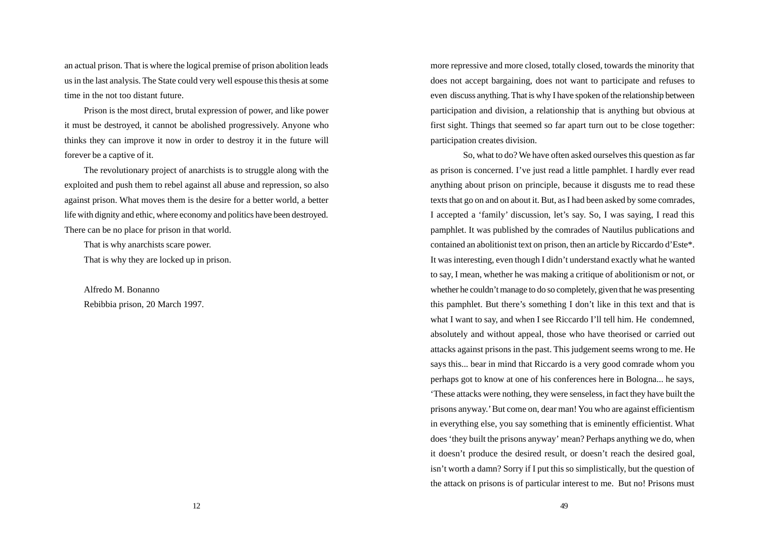an actual prison. That is where the logical premise of prison abolition leads us in the last analysis. The State could very well espouse this thesis at some time in the not too distant future.

Prison is the most direct, brutal expression of power, and like power it must be destroyed, it cannot be abolished progressively. Anyone who thinks they can improve it now in order to destroy it in the future will forever be a captive of it.

The revolutionary project of anarchists is to struggle along with the exploited and push them to rebel against all abuse and repression, so also against prison. What moves them is the desire for a better world, a better life with dignity and ethic, where economy and politics have been destroyed. There can be no place for prison in that world.

That is why anarchists scare power.

That is why they are locked up in prison.

Alfredo M. Bonanno Rebibbia prison, 20 March 1997. more repressive and more closed, totally closed, towards the minority that does not accept bargaining, does not want to participate and refuses to even discuss anything. That is why I have spoken of the relationship between participation and division, a relationship that is anything but obvious at first sight. Things that seemed so far apart turn out to be close together: participation creates division.

So, what to do? We have often asked ourselves this question as far as prison is concerned. I've just read a little pamphlet. I hardly ever read anything about prison on principle, because it disgusts me to read these texts that go on and on about it. But, as I had been asked by some comrades, I accepted a 'family' discussion, let's say. So, I was saying, I read this pamphlet. It was published by the comrades of Nautilus publications and contained an abolitionist text on prison, then an article by Riccardo d'Este\*. It was interesting, even though I didn't understand exactly what he wanted to say, I mean, whether he was making a critique of abolitionism or not, or whether he couldn't manage to do so completely, given that he was presenting this pamphlet. But there's something I don't like in this text and that is what I want to say, and when I see Riccardo I'll tell him. He condemned, absolutely and without appeal, those who have theorised or carried out attacks against prisons in the past. This judgement seems wrong to me. He says this... bear in mind that Riccardo is a very good comrade whom you perhaps got to know at one of his conferences here in Bologna... he says, 'These attacks were nothing, they were senseless, in fact they have built the prisons anyway.' But come on, dear man! You who are against efficientism in everything else, you say something that is eminently efficientist. What does 'they built the prisons anyway' mean? Perhaps anything we do, when it doesn't produce the desired result, or doesn't reach the desired goal, isn't worth a damn? Sorry if I put this so simplistically, but the question of the attack on prisons is of particular interest to me. But no! Prisons must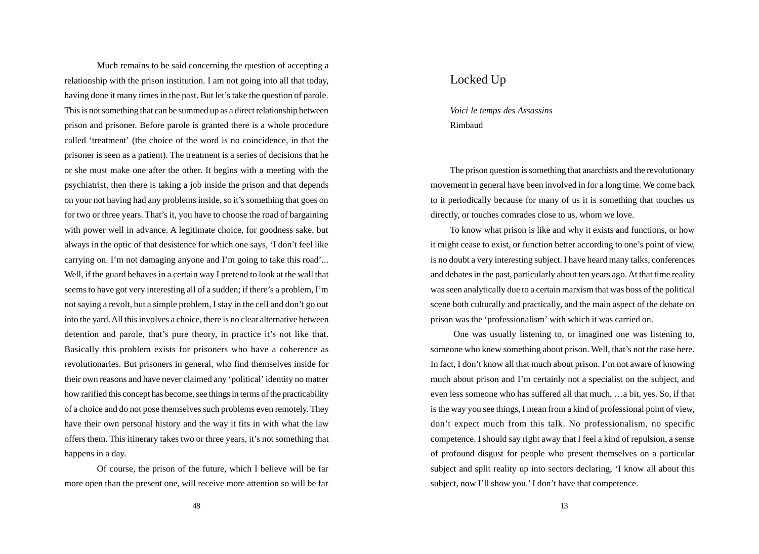Much remains to be said concerning the question of accepting a relationship with the prison institution. I am not going into all that today, having done it many times in the past. But let's take the question of parole. This is not something that can be summed up as a direct relationship between prison and prisoner. Before parole is granted there is a whole procedure called 'treatment' (the choice of the word is no coincidence, in that the prisoner is seen as a patient). The treatment is a series of decisions that he or she must make one after the other. It begins with a meeting with the psychiatrist, then there is taking a job inside the prison and that depends on your not having had any problems inside, so it's something that goes on for two or three years. That's it, you have to choose the road of bargaining with power well in advance. A legitimate choice, for goodness sake, but always in the optic of that desistence for which one says, 'I don't feel like carrying on. I'm not damaging anyone and I'm going to take this road'... Well, if the guard behaves in a certain way I pretend to look at the wall that seems to have got very interesting all of a sudden; if there's a problem, I'm not saying a revolt, but a simple problem, I stay in the cell and don't go out into the yard. All this involves a choice, there is no clear alternative between detention and parole, that's pure theory, in practice it's not like that. Basically this problem exists for prisoners who have a coherence as revolutionaries. But prisoners in general, who find themselves inside for their own reasons and have never claimed any 'political' identity no matter how rarified this concept has become, see things in terms of the practicability of a choice and do not pose themselves such problems even remotely. They have their own personal history and the way it fits in with what the law offers them. This itinerary takes two or three years, it's not something that happens in a day.

Of course, the prison of the future, which I believe will be far more open than the present one, will receive more attention so will be far

### Locked Up

*Voici le temps des Assassins* Rimbaud

The prison question is something that anarchists and the revolutionary movement in general have been involved in for a long time. We come back to it periodically because for many of us it is something that touches us directly, or touches comrades close to us, whom we love.

To know what prison is like and why it exists and functions, or how it might cease to exist, or function better according to one's point of view, is no doubt a very interesting subject. I have heard many talks, conferences and debates in the past, particularly about ten years ago. At that time reality was seen analytically due to a certain marxism that was boss of the political scene both culturally and practically, and the main aspect of the debate on prison was the 'professionalism' with which it was carried on.

 One was usually listening to, or imagined one was listening to, someone who knew something about prison. Well, that's not the case here. In fact, I don't know all that much about prison. I'm not aware of knowing much about prison and I'm certainly not a specialist on the subject, and even less someone who has suffered all that much, …a bit, yes. So, if that is the way you see things, I mean from a kind of professional point of view, don't expect much from this talk. No professionalism, no specific competence. I should say right away that I feel a kind of repulsion, a sense of profound disgust for people who present themselves on a particular subject and split reality up into sectors declaring, 'I know all about this subject, now I'll show you.' I don't have that competence.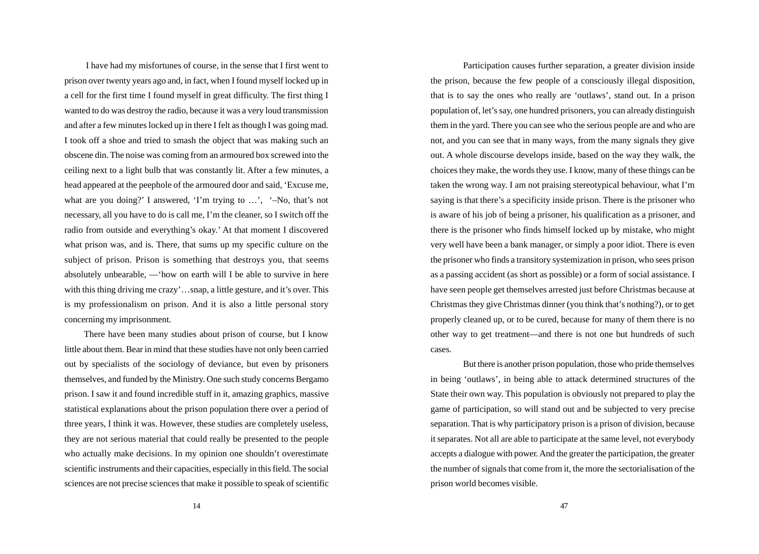I have had my misfortunes of course, in the sense that I first went to prison over twenty years ago and, in fact, when I found myself locked up in a cell for the first time I found myself in great difficulty. The first thing I wanted to do was destroy the radio, because it was a very loud transmission and after a few minutes locked up in there I felt as though I was going mad. I took off a shoe and tried to smash the object that was making such an obscene din. The noise was coming from an armoured box screwed into the ceiling next to a light bulb that was constantly lit. After a few minutes, a head appeared at the peephole of the armoured door and said, 'Excuse me, what are you doing?' I answered, 'I'm trying to ...', '-No, that's not necessary, all you have to do is call me, I'm the cleaner, so I switch off the radio from outside and everything's okay.' At that moment I discovered what prison was, and is. There, that sums up my specific culture on the subject of prison. Prison is something that destroys you, that seems absolutely unbearable, —'how on earth will I be able to survive in here with this thing driving me crazy'...snap, a little gesture, and it's over. This is my professionalism on prison. And it is also a little personal story concerning my imprisonment.

There have been many studies about prison of course, but I know little about them. Bear in mind that these studies have not only been carried out by specialists of the sociology of deviance, but even by prisoners themselves, and funded by the Ministry. One such study concerns Bergamo prison. I saw it and found incredible stuff in it, amazing graphics, massive statistical explanations about the prison population there over a period of three years, I think it was. However, these studies are completely useless, they are not serious material that could really be presented to the people who actually make decisions. In my opinion one shouldn't overestimate scientific instruments and their capacities, especially in this field. The social sciences are not precise sciences that make it possible to speak of scientific

Participation causes further separation, a greater division inside the prison, because the few people of a consciously illegal disposition, that is to say the ones who really are 'outlaws', stand out. In a prison population of, let's say, one hundred prisoners, you can already distinguish them in the yard. There you can see who the serious people are and who are not, and you can see that in many ways, from the many signals they give out. A whole discourse develops inside, based on the way they walk, the choices they make, the words they use. I know, many of these things can be taken the wrong way. I am not praising stereotypical behaviour, what I'm saying is that there's a specificity inside prison. There is the prisoner who is aware of his job of being a prisoner, his qualification as a prisoner, and there is the prisoner who finds himself locked up by mistake, who might very well have been a bank manager, or simply a poor idiot. There is even the prisoner who finds a transitory systemization in prison, who sees prison as a passing accident (as short as possible) or a form of social assistance. I have seen people get themselves arrested just before Christmas because at Christmas they give Christmas dinner (you think that's nothing?), or to get properly cleaned up, or to be cured, because for many of them there is no other way to get treatment—and there is not one but hundreds of such cases.

But there is another prison population, those who pride themselves in being 'outlaws', in being able to attack determined structures of the State their own way. This population is obviously not prepared to play the game of participation, so will stand out and be subjected to very precise separation. That is why participatory prison is a prison of division, because it separates. Not all are able to participate at the same level, not everybody accepts a dialogue with power. And the greater the participation, the greater the number of signals that come from it, the more the sectorialisation of the prison world becomes visible.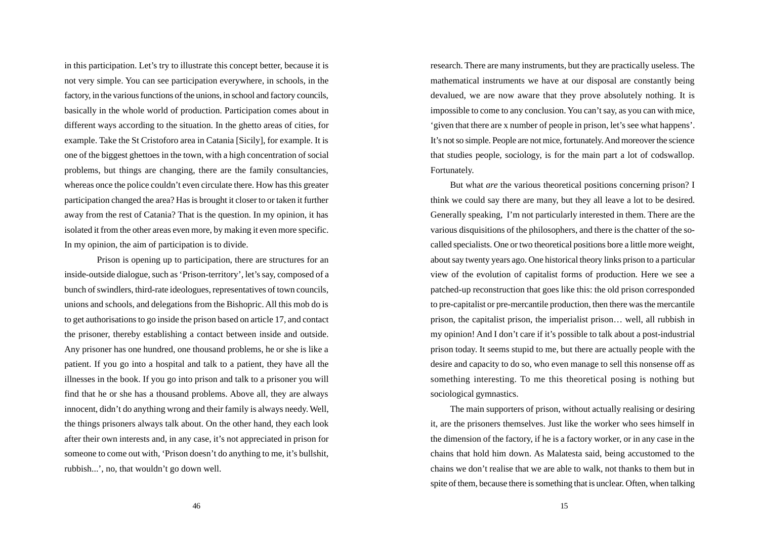in this participation. Let's try to illustrate this concept better, because it is not very simple. You can see participation everywhere, in schools, in the factory, in the various functions of the unions, in school and factory councils, basically in the whole world of production. Participation comes about in different ways according to the situation. In the ghetto areas of cities, for example. Take the St Cristoforo area in Catania [Sicily], for example. It is one of the biggest ghettoes in the town, with a high concentration of social problems, but things are changing, there are the family consultancies, whereas once the police couldn't even circulate there. How has this greater participation changed the area? Has is brought it closer to or taken it further away from the rest of Catania? That is the question. In my opinion, it has isolated it from the other areas even more, by making it even more specific. In my opinion, the aim of participation is to divide.

Prison is opening up to participation, there are structures for an inside-outside dialogue, such as 'Prison-territory', let's say, composed of a bunch of swindlers, third-rate ideologues, representatives of town councils, unions and schools, and delegations from the Bishopric. All this mob do is to get authorisations to go inside the prison based on article 17, and contact the prisoner, thereby establishing a contact between inside and outside. Any prisoner has one hundred, one thousand problems, he or she is like a patient. If you go into a hospital and talk to a patient, they have all the illnesses in the book. If you go into prison and talk to a prisoner you will find that he or she has a thousand problems. Above all, they are always innocent, didn't do anything wrong and their family is always needy. Well, the things prisoners always talk about. On the other hand, they each look after their own interests and, in any case, it's not appreciated in prison for someone to come out with, 'Prison doesn't do anything to me, it's bullshit, rubbish...', no, that wouldn't go down well.

research. There are many instruments, but they are practically useless. The mathematical instruments we have at our disposal are constantly being devalued, we are now aware that they prove absolutely nothing. It is impossible to come to any conclusion. You can't say, as you can with mice, 'given that there are x number of people in prison, let's see what happens'. It's not so simple. People are not mice, fortunately. And moreover the science that studies people, sociology, is for the main part a lot of codswallop. Fortunately.

But what *are* the various theoretical positions concerning prison? I think we could say there are many, but they all leave a lot to be desired. Generally speaking, I'm not particularly interested in them. There are the various disquisitions of the philosophers, and there is the chatter of the socalled specialists. One or two theoretical positions bore a little more weight, about say twenty years ago. One historical theory links prison to a particular view of the evolution of capitalist forms of production. Here we see a patched-up reconstruction that goes like this: the old prison corresponded to pre-capitalist or pre-mercantile production, then there was the mercantile prison, the capitalist prison, the imperialist prison… well, all rubbish in my opinion! And I don't care if it's possible to talk about a post-industrial prison today. It seems stupid to me, but there are actually people with the desire and capacity to do so, who even manage to sell this nonsense off as something interesting. To me this theoretical posing is nothing but sociological gymnastics.

The main supporters of prison, without actually realising or desiring it, are the prisoners themselves. Just like the worker who sees himself in the dimension of the factory, if he is a factory worker, or in any case in the chains that hold him down. As Malatesta said, being accustomed to the chains we don't realise that we are able to walk, not thanks to them but in spite of them, because there is something that is unclear. Often, when talking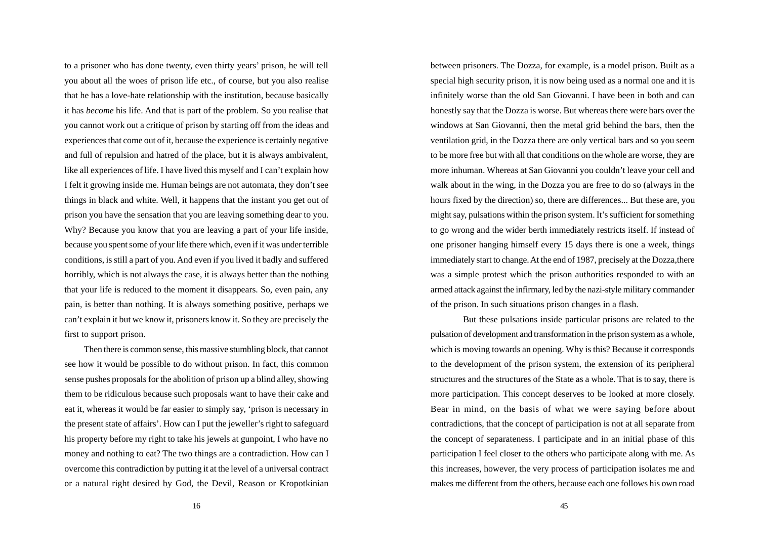to a prisoner who has done twenty, even thirty years' prison, he will tell you about all the woes of prison life etc., of course, but you also realise that he has a love-hate relationship with the institution, because basically it has *become* his life. And that is part of the problem. So you realise that you cannot work out a critique of prison by starting off from the ideas and experiences that come out of it, because the experience is certainly negative and full of repulsion and hatred of the place, but it is always ambivalent, like all experiences of life. I have lived this myself and I can't explain how I felt it growing inside me. Human beings are not automata, they don't see things in black and white. Well, it happens that the instant you get out of prison you have the sensation that you are leaving something dear to you. Why? Because you know that you are leaving a part of your life inside, because you spent some of your life there which, even if it was under terrible conditions, is still a part of you. And even if you lived it badly and suffered horribly, which is not always the case, it is always better than the nothing that your life is reduced to the moment it disappears. So, even pain, any pain, is better than nothing. It is always something positive, perhaps we can't explain it but we know it, prisoners know it. So they are precisely the first to support prison.

Then there is common sense, this massive stumbling block, that cannot see how it would be possible to do without prison. In fact, this common sense pushes proposals for the abolition of prison up a blind alley, showing them to be ridiculous because such proposals want to have their cake and eat it, whereas it would be far easier to simply say, 'prison is necessary in the present state of affairs'. How can I put the jeweller's right to safeguard his property before my right to take his jewels at gunpoint, I who have no money and nothing to eat? The two things are a contradiction. How can I overcome this contradiction by putting it at the level of a universal contract or a natural right desired by God, the Devil, Reason or Kropotkinian

between prisoners. The Dozza, for example, is a model prison. Built as a special high security prison, it is now being used as a normal one and it is infinitely worse than the old San Giovanni. I have been in both and can honestly say that the Dozza is worse. But whereas there were bars over the windows at San Giovanni, then the metal grid behind the bars, then the ventilation grid, in the Dozza there are only vertical bars and so you seem to be more free but with all that conditions on the whole are worse, they are more inhuman. Whereas at San Giovanni you couldn't leave your cell and walk about in the wing, in the Dozza you are free to do so (always in the hours fixed by the direction) so, there are differences... But these are, you might say, pulsations within the prison system. It's sufficient for something to go wrong and the wider berth immediately restricts itself. If instead of one prisoner hanging himself every 15 days there is one a week, things immediately start to change. At the end of 1987, precisely at the Dozza,there was a simple protest which the prison authorities responded to with an armed attack against the infirmary, led by the nazi-style military commander of the prison. In such situations prison changes in a flash.

But these pulsations inside particular prisons are related to the pulsation of development and transformation in the prison system as a whole, which is moving towards an opening. Why is this? Because it corresponds to the development of the prison system, the extension of its peripheral structures and the structures of the State as a whole. That is to say, there is more participation. This concept deserves to be looked at more closely. Bear in mind, on the basis of what we were saying before about contradictions, that the concept of participation is not at all separate from the concept of separateness. I participate and in an initial phase of this participation I feel closer to the others who participate along with me. As this increases, however, the very process of participation isolates me and makes me different from the others, because each one follows his own road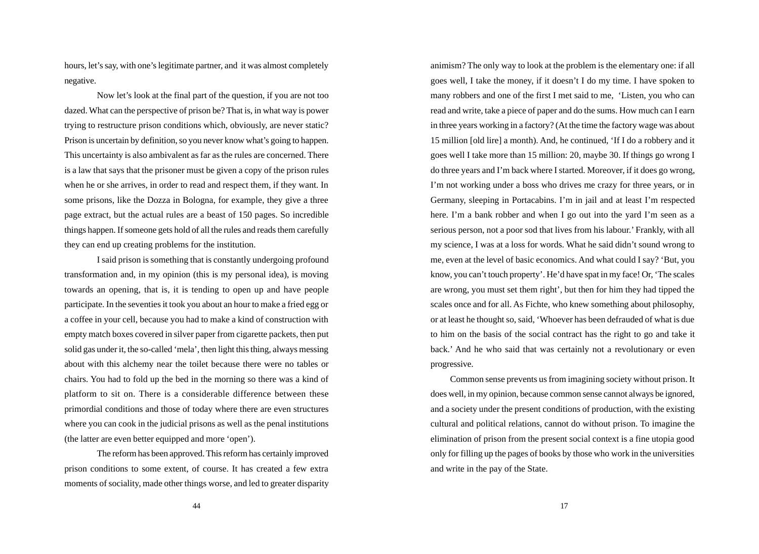hours, let's say, with one's legitimate partner, and it was almost completely negative.

Now let's look at the final part of the question, if you are not too dazed. What can the perspective of prison be? That is, in what way is power trying to restructure prison conditions which, obviously, are never static? Prison is uncertain by definition, so you never know what's going to happen. This uncertainty is also ambivalent as far as the rules are concerned. There is a law that says that the prisoner must be given a copy of the prison rules when he or she arrives, in order to read and respect them, if they want. In some prisons, like the Dozza in Bologna, for example, they give a three page extract, but the actual rules are a beast of 150 pages. So incredible things happen. If someone gets hold of all the rules and reads them carefully they can end up creating problems for the institution.

I said prison is something that is constantly undergoing profound transformation and, in my opinion (this is my personal idea), is moving towards an opening, that is, it is tending to open up and have people participate. In the seventies it took you about an hour to make a fried egg or a coffee in your cell, because you had to make a kind of construction with empty match boxes covered in silver paper from cigarette packets, then put solid gas under it, the so-called 'mela', then light this thing, always messing about with this alchemy near the toilet because there were no tables or chairs. You had to fold up the bed in the morning so there was a kind of platform to sit on. There is a considerable difference between these primordial conditions and those of today where there are even structures where you can cook in the judicial prisons as well as the penal institutions (the latter are even better equipped and more 'open').

The reform has been approved. This reform has certainly improved prison conditions to some extent, of course. It has created a few extra moments of sociality, made other things worse, and led to greater disparity animism? The only way to look at the problem is the elementary one: if all goes well, I take the money, if it doesn't I do my time. I have spoken to many robbers and one of the first I met said to me, 'Listen, you who can read and write, take a piece of paper and do the sums. How much can I earn in three years working in a factory? (At the time the factory wage was about 15 million [old lire] a month). And, he continued, 'If I do a robbery and it goes well I take more than 15 million: 20, maybe 30. If things go wrong I do three years and I'm back where I started. Moreover, if it does go wrong, I'm not working under a boss who drives me crazy for three years, or in Germany, sleeping in Portacabins. I'm in jail and at least I'm respected here. I'm a bank robber and when I go out into the yard I'm seen as a serious person, not a poor sod that lives from his labour.' Frankly, with all my science, I was at a loss for words. What he said didn't sound wrong to me, even at the level of basic economics. And what could I say? 'But, you know, you can't touch property'. He'd have spat in my face! Or, 'The scales are wrong, you must set them right', but then for him they had tipped the scales once and for all. As Fichte, who knew something about philosophy, or at least he thought so, said, 'Whoever has been defrauded of what is due to him on the basis of the social contract has the right to go and take it back.' And he who said that was certainly not a revolutionary or even progressive.

Common sense prevents us from imagining society without prison. It does well, in my opinion, because common sense cannot always be ignored, and a society under the present conditions of production, with the existing cultural and political relations, cannot do without prison. To imagine the elimination of prison from the present social context is a fine utopia good only for filling up the pages of books by those who work in the universities and write in the pay of the State.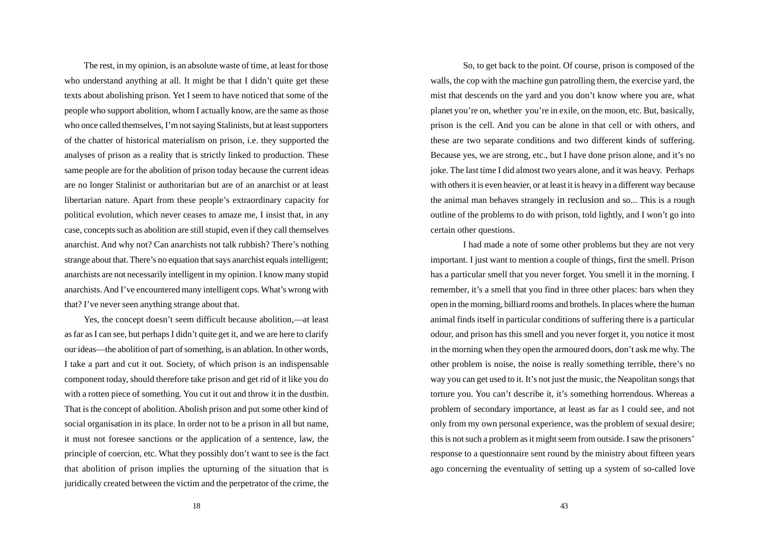The rest, in my opinion, is an absolute waste of time, at least for those who understand anything at all. It might be that I didn't quite get these texts about abolishing prison. Yet I seem to have noticed that some of the people who support abolition, whom I actually know, are the same as those who once called themselves, I'm not saying Stalinists, but at least supporters of the chatter of historical materialism on prison, i.e. they supported the analyses of prison as a reality that is strictly linked to production. These same people are for the abolition of prison today because the current ideas are no longer Stalinist or authoritarian but are of an anarchist or at least libertarian nature. Apart from these people's extraordinary capacity for political evolution, which never ceases to amaze me, I insist that, in any case, concepts such as abolition are still stupid, even if they call themselves anarchist. And why not? Can anarchists not talk rubbish? There's nothing strange about that. There's no equation that says anarchist equals intelligent; anarchists are not necessarily intelligent in my opinion. I know many stupid anarchists. And I've encountered many intelligent cops. What's wrong with that? I've never seen anything strange about that.

Yes, the concept doesn't seem difficult because abolition,—at least as far as I can see, but perhaps I didn't quite get it, and we are here to clarify our ideas—the abolition of part of something, is an ablation. In other words, I take a part and cut it out. Society, of which prison is an indispensable component today, should therefore take prison and get rid of it like you do with a rotten piece of something. You cut it out and throw it in the dustbin. That is the concept of abolition. Abolish prison and put some other kind of social organisation in its place. In order not to be a prison in all but name, it must not foresee sanctions or the application of a sentence, law, the principle of coercion, etc. What they possibly don't want to see is the fact that abolition of prison implies the upturning of the situation that is juridically created between the victim and the perpetrator of the crime, the

So, to get back to the point. Of course, prison is composed of the walls, the cop with the machine gun patrolling them, the exercise yard, the mist that descends on the yard and you don't know where you are, what planet you're on, whether you're in exile, on the moon, etc. But, basically, prison is the cell. And you can be alone in that cell or with others, and these are two separate conditions and two different kinds of suffering. Because yes, we are strong, etc., but I have done prison alone, and it's no joke. The last time I did almost two years alone, and it was heavy. Perhaps with others it is even heavier, or at least it is heavy in a different way because the animal man behaves strangely in reclusion and so... This is a rough outline of the problems to do with prison, told lightly, and I won't go into certain other questions.

I had made a note of some other problems but they are not very important. I just want to mention a couple of things, first the smell. Prison has a particular smell that you never forget. You smell it in the morning. I remember, it's a smell that you find in three other places: bars when they open in the morning, billiard rooms and brothels. In places where the human animal finds itself in particular conditions of suffering there is a particular odour, and prison has this smell and you never forget it, you notice it most in the morning when they open the armoured doors, don't ask me why. The other problem is noise, the noise is really something terrible, there's no way you can get used to it. It's not just the music, the Neapolitan songs that torture you. You can't describe it, it's something horrendous. Whereas a problem of secondary importance, at least as far as I could see, and not only from my own personal experience, was the problem of sexual desire; this is not such a problem as it might seem from outside. I saw the prisoners' response to a questionnaire sent round by the ministry about fifteen years ago concerning the eventuality of setting up a system of so-called love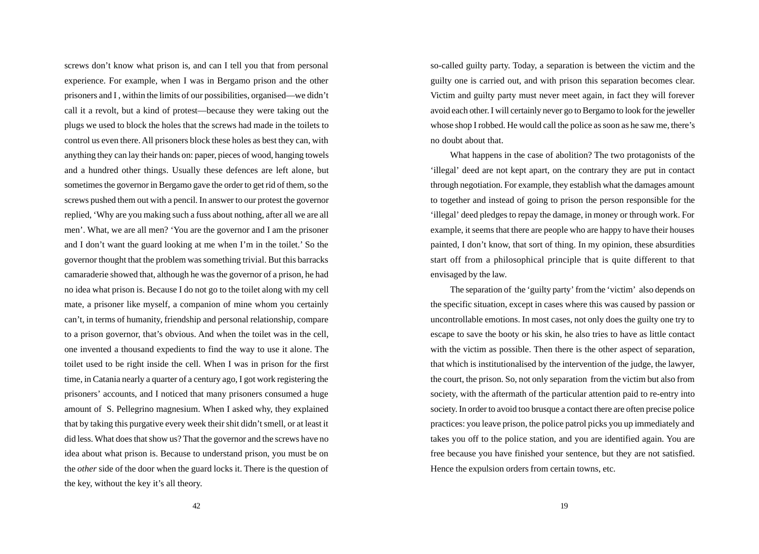screws don't know what prison is, and can I tell you that from personal experience. For example, when I was in Bergamo prison and the other prisoners and I , within the limits of our possibilities, organised—we didn't call it a revolt, but a kind of protest—because they were taking out the plugs we used to block the holes that the screws had made in the toilets to control us even there. All prisoners block these holes as best they can, with anything they can lay their hands on: paper, pieces of wood, hanging towels and a hundred other things. Usually these defences are left alone, but sometimes the governor in Bergamo gave the order to get rid of them, so the screws pushed them out with a pencil. In answer to our protest the governor replied, 'Why are you making such a fuss about nothing, after all we are all men'. What, we are all men? 'You are the governor and I am the prisoner and I don't want the guard looking at me when I'm in the toilet.' So the governor thought that the problem was something trivial. But this barracks camaraderie showed that, although he was the governor of a prison, he had no idea what prison is. Because I do not go to the toilet along with my cell mate, a prisoner like myself, a companion of mine whom you certainly can't, in terms of humanity, friendship and personal relationship, compare to a prison governor, that's obvious. And when the toilet was in the cell, one invented a thousand expedients to find the way to use it alone. The toilet used to be right inside the cell. When I was in prison for the first time, in Catania nearly a quarter of a century ago, I got work registering the prisoners' accounts, and I noticed that many prisoners consumed a huge amount of S. Pellegrino magnesium. When I asked why, they explained that by taking this purgative every week their shit didn't smell, or at least it did less. What does that show us? That the governor and the screws have no idea about what prison is. Because to understand prison, you must be on the *other* side of the door when the guard locks it. There is the question of the key, without the key it's all theory.

so-called guilty party. Today, a separation is between the victim and the guilty one is carried out, and with prison this separation becomes clear. Victim and guilty party must never meet again, in fact they will forever avoid each other. I will certainly never go to Bergamo to look for the jeweller whose shop I robbed. He would call the police as soon as he saw me, there's no doubt about that.

What happens in the case of abolition? The two protagonists of the 'illegal' deed are not kept apart, on the contrary they are put in contact through negotiation. For example, they establish what the damages amount to together and instead of going to prison the person responsible for the 'illegal' deed pledges to repay the damage, in money or through work. For example, it seems that there are people who are happy to have their houses painted, I don't know, that sort of thing. In my opinion, these absurdities start off from a philosophical principle that is quite different to that envisaged by the law.

The separation of the 'guilty party' from the 'victim' also depends on the specific situation, except in cases where this was caused by passion or uncontrollable emotions. In most cases, not only does the guilty one try to escape to save the booty or his skin, he also tries to have as little contact with the victim as possible. Then there is the other aspect of separation, that which is institutionalised by the intervention of the judge, the lawyer, the court, the prison. So, not only separation from the victim but also from society, with the aftermath of the particular attention paid to re-entry into society. In order to avoid too brusque a contact there are often precise police practices: you leave prison, the police patrol picks you up immediately and takes you off to the police station, and you are identified again. You are free because you have finished your sentence, but they are not satisfied. Hence the expulsion orders from certain towns, etc.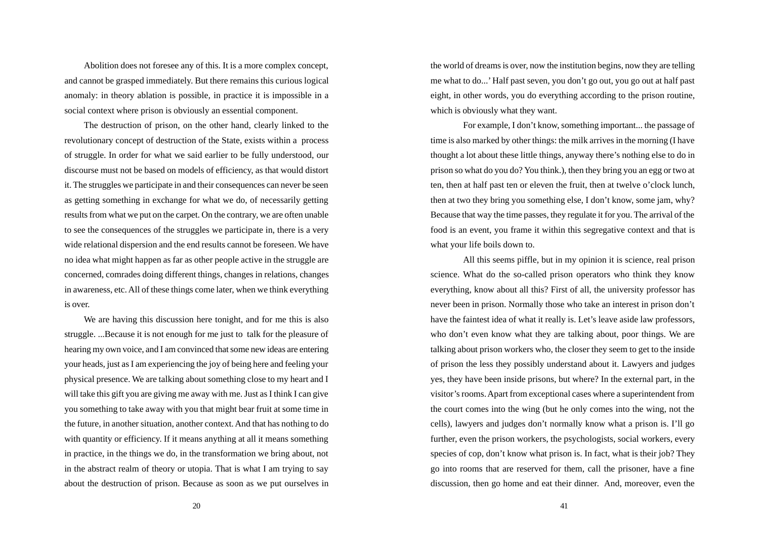Abolition does not foresee any of this. It is a more complex concept, and cannot be grasped immediately. But there remains this curious logical anomaly: in theory ablation is possible, in practice it is impossible in a social context where prison is obviously an essential component.

The destruction of prison, on the other hand, clearly linked to the revolutionary concept of destruction of the State, exists within a process of struggle. In order for what we said earlier to be fully understood, our discourse must not be based on models of efficiency, as that would distort it. The struggles we participate in and their consequences can never be seen as getting something in exchange for what we do, of necessarily getting results from what we put on the carpet. On the contrary, we are often unable to see the consequences of the struggles we participate in, there is a very wide relational dispersion and the end results cannot be foreseen. We have no idea what might happen as far as other people active in the struggle are concerned, comrades doing different things, changes in relations, changes in awareness, etc. All of these things come later, when we think everything is over.

We are having this discussion here tonight, and for me this is also struggle. ...Because it is not enough for me just to talk for the pleasure of hearing my own voice, and I am convinced that some new ideas are entering your heads, just as I am experiencing the joy of being here and feeling your physical presence. We are talking about something close to my heart and I will take this gift you are giving me away with me. Just as I think I can give you something to take away with you that might bear fruit at some time in the future, in another situation, another context. And that has nothing to do with quantity or efficiency. If it means anything at all it means something in practice, in the things we do, in the transformation we bring about, not in the abstract realm of theory or utopia. That is what I am trying to say about the destruction of prison. Because as soon as we put ourselves in the world of dreams is over, now the institution begins, now they are telling me what to do...' Half past seven, you don't go out, you go out at half past eight, in other words, you do everything according to the prison routine, which is obviously what they want.

For example, I don't know, something important... the passage of time is also marked by other things: the milk arrives in the morning (I have thought a lot about these little things, anyway there's nothing else to do in prison so what do you do? You think.), then they bring you an egg or two at ten, then at half past ten or eleven the fruit, then at twelve o'clock lunch, then at two they bring you something else, I don't know, some jam, why? Because that way the time passes, they regulate it for you. The arrival of the food is an event, you frame it within this segregative context and that is what your life boils down to.

All this seems piffle, but in my opinion it is science, real prison science. What do the so-called prison operators who think they know everything, know about all this? First of all, the university professor has never been in prison. Normally those who take an interest in prison don't have the faintest idea of what it really is. Let's leave aside law professors, who don't even know what they are talking about, poor things. We are talking about prison workers who, the closer they seem to get to the inside of prison the less they possibly understand about it. Lawyers and judges yes, they have been inside prisons, but where? In the external part, in the visitor's rooms. Apart from exceptional cases where a superintendent from the court comes into the wing (but he only comes into the wing, not the cells), lawyers and judges don't normally know what a prison is. I'll go further, even the prison workers, the psychologists, social workers, every species of cop, don't know what prison is. In fact, what is their job? They go into rooms that are reserved for them, call the prisoner, have a fine discussion, then go home and eat their dinner. And, moreover, even the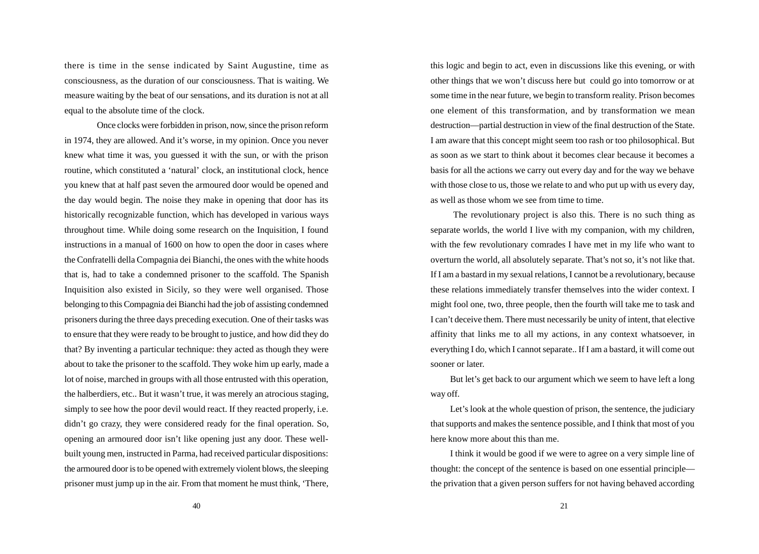there is time in the sense indicated by Saint Augustine, time as consciousness, as the duration of our consciousness. That is waiting. We measure waiting by the beat of our sensations, and its duration is not at all equal to the absolute time of the clock.

Once clocks were forbidden in prison, now, since the prison reform in 1974, they are allowed. And it's worse, in my opinion. Once you never knew what time it was, you guessed it with the sun, or with the prison routine, which constituted a 'natural' clock, an institutional clock, hence you knew that at half past seven the armoured door would be opened and the day would begin. The noise they make in opening that door has its historically recognizable function, which has developed in various ways throughout time. While doing some research on the Inquisition, I found instructions in a manual of 1600 on how to open the door in cases where the Confratelli della Compagnia dei Bianchi, the ones with the white hoods that is, had to take a condemned prisoner to the scaffold. The Spanish Inquisition also existed in Sicily, so they were well organised. Those belonging to this Compagnia dei Bianchi had the job of assisting condemned prisoners during the three days preceding execution. One of their tasks was to ensure that they were ready to be brought to justice, and how did they do that? By inventing a particular technique: they acted as though they were about to take the prisoner to the scaffold. They woke him up early, made a lot of noise, marched in groups with all those entrusted with this operation, the halberdiers, etc.. But it wasn't true, it was merely an atrocious staging, simply to see how the poor devil would react. If they reacted properly, i.e. didn't go crazy, they were considered ready for the final operation. So, opening an armoured door isn't like opening just any door. These wellbuilt young men, instructed in Parma, had received particular dispositions: the armoured door is to be opened with extremely violent blows, the sleeping prisoner must jump up in the air. From that moment he must think, 'There,

this logic and begin to act, even in discussions like this evening, or with other things that we won't discuss here but could go into tomorrow or at some time in the near future, we begin to transform reality. Prison becomes one element of this transformation, and by transformation we mean destruction—partial destruction in view of the final destruction of the State. I am aware that this concept might seem too rash or too philosophical. But as soon as we start to think about it becomes clear because it becomes a basis for all the actions we carry out every day and for the way we behave with those close to us, those we relate to and who put up with us every day, as well as those whom we see from time to time.

 The revolutionary project is also this. There is no such thing as separate worlds, the world I live with my companion, with my children, with the few revolutionary comrades I have met in my life who want to overturn the world, all absolutely separate. That's not so, it's not like that. If I am a bastard in my sexual relations, I cannot be a revolutionary, because these relations immediately transfer themselves into the wider context. I might fool one, two, three people, then the fourth will take me to task and I can't deceive them. There must necessarily be unity of intent, that elective affinity that links me to all my actions, in any context whatsoever, in everything I do, which I cannot separate.. If I am a bastard, it will come out sooner or later.

But let's get back to our argument which we seem to have left a long way off.

Let's look at the whole question of prison, the sentence, the judiciary that supports and makes the sentence possible, and I think that most of you here know more about this than me.

I think it would be good if we were to agree on a very simple line of thought: the concept of the sentence is based on one essential principle the privation that a given person suffers for not having behaved according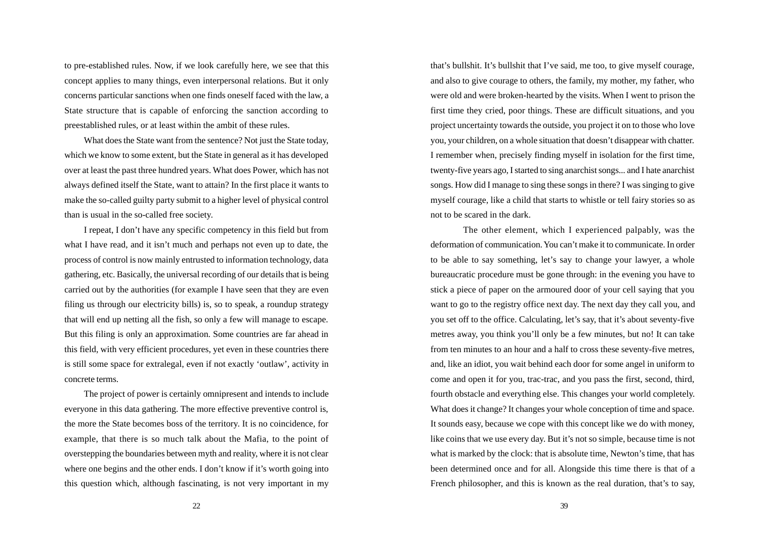to pre-established rules. Now, if we look carefully here, we see that this concept applies to many things, even interpersonal relations. But it only concerns particular sanctions when one finds oneself faced with the law, a State structure that is capable of enforcing the sanction according to preestablished rules, or at least within the ambit of these rules.

What does the State want from the sentence? Not just the State today, which we know to some extent, but the State in general as it has developed over at least the past three hundred years. What does Power, which has not always defined itself the State, want to attain? In the first place it wants to make the so-called guilty party submit to a higher level of physical control than is usual in the so-called free society.

I repeat, I don't have any specific competency in this field but from what I have read, and it isn't much and perhaps not even up to date, the process of control is now mainly entrusted to information technology, data gathering, etc. Basically, the universal recording of our details that is being carried out by the authorities (for example I have seen that they are even filing us through our electricity bills) is, so to speak, a roundup strategy that will end up netting all the fish, so only a few will manage to escape. But this filing is only an approximation. Some countries are far ahead in this field, with very efficient procedures, yet even in these countries there is still some space for extralegal, even if not exactly 'outlaw', activity in concrete terms.

The project of power is certainly omnipresent and intends to include everyone in this data gathering. The more effective preventive control is, the more the State becomes boss of the territory. It is no coincidence, for example, that there is so much talk about the Mafia, to the point of overstepping the boundaries between myth and reality, where it is not clear where one begins and the other ends. I don't know if it's worth going into this question which, although fascinating, is not very important in my that's bullshit. It's bullshit that I've said, me too, to give myself courage, and also to give courage to others, the family, my mother, my father, who were old and were broken-hearted by the visits. When I went to prison the first time they cried, poor things. These are difficult situations, and you project uncertainty towards the outside, you project it on to those who love you, your children, on a whole situation that doesn't disappear with chatter. I remember when, precisely finding myself in isolation for the first time, twenty-five years ago, I started to sing anarchist songs... and I hate anarchist songs. How did I manage to sing these songs in there? I was singing to give myself courage, like a child that starts to whistle or tell fairy stories so as not to be scared in the dark.

The other element, which I experienced palpably, was the deformation of communication. You can't make it to communicate. In order to be able to say something, let's say to change your lawyer, a whole bureaucratic procedure must be gone through: in the evening you have to stick a piece of paper on the armoured door of your cell saying that you want to go to the registry office next day. The next day they call you, and you set off to the office. Calculating, let's say, that it's about seventy-five metres away, you think you'll only be a few minutes, but no! It can take from ten minutes to an hour and a half to cross these seventy-five metres, and, like an idiot, you wait behind each door for some angel in uniform to come and open it for you, trac-trac, and you pass the first, second, third, fourth obstacle and everything else. This changes your world completely. What does it change? It changes your whole conception of time and space. It sounds easy, because we cope with this concept like we do with money, like coins that we use every day. But it's not so simple, because time is not what is marked by the clock: that is absolute time, Newton's time, that has been determined once and for all. Alongside this time there is that of a French philosopher, and this is known as the real duration, that's to say,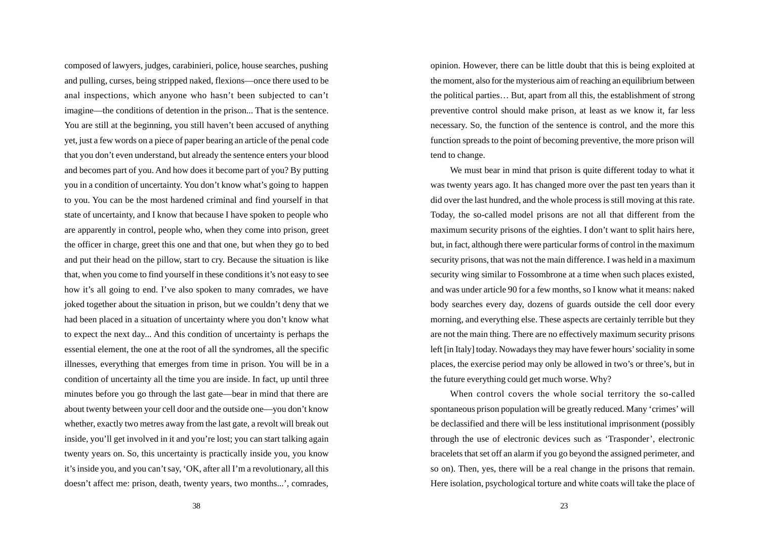composed of lawyers, judges, carabinieri, police, house searches, pushing and pulling, curses, being stripped naked, flexions—once there used to be anal inspections, which anyone who hasn't been subjected to can't imagine—the conditions of detention in the prison... That is the sentence. You are still at the beginning, you still haven't been accused of anything yet, just a few words on a piece of paper bearing an article of the penal code that you don't even understand, but already the sentence enters your blood and becomes part of you. And how does it become part of you? By putting you in a condition of uncertainty. You don't know what's going to happen to you. You can be the most hardened criminal and find yourself in that state of uncertainty, and I know that because I have spoken to people who are apparently in control, people who, when they come into prison, greet the officer in charge, greet this one and that one, but when they go to bed and put their head on the pillow, start to cry. Because the situation is like that, when you come to find yourself in these conditions it's not easy to see how it's all going to end. I've also spoken to many comrades, we have joked together about the situation in prison, but we couldn't deny that we had been placed in a situation of uncertainty where you don't know what to expect the next day... And this condition of uncertainty is perhaps the essential element, the one at the root of all the syndromes, all the specific illnesses, everything that emerges from time in prison. You will be in a condition of uncertainty all the time you are inside. In fact, up until three minutes before you go through the last gate—bear in mind that there are about twenty between your cell door and the outside one—you don't know whether, exactly two metres away from the last gate, a revolt will break out inside, you'll get involved in it and you're lost; you can start talking again twenty years on. So, this uncertainty is practically inside you, you know it's inside you, and you can't say, 'OK, after all I'm a revolutionary, all this doesn't affect me: prison, death, twenty years, two months...', comrades,

opinion. However, there can be little doubt that this is being exploited at the moment, also for the mysterious aim of reaching an equilibrium between the political parties… But, apart from all this, the establishment of strong preventive control should make prison, at least as we know it, far less necessary. So, the function of the sentence is control, and the more this function spreads to the point of becoming preventive, the more prison will tend to change.

We must bear in mind that prison is quite different today to what it was twenty years ago. It has changed more over the past ten years than it did over the last hundred, and the whole process is still moving at this rate. Today, the so-called model prisons are not all that different from the maximum security prisons of the eighties. I don't want to split hairs here, but, in fact, although there were particular forms of control in the maximum security prisons, that was not the main difference. I was held in a maximum security wing similar to Fossombrone at a time when such places existed, and was under article 90 for a few months, so I know what it means: naked body searches every day, dozens of guards outside the cell door every morning, and everything else. These aspects are certainly terrible but they are not the main thing. There are no effectively maximum security prisons left [in Italy] today. Nowadays they may have fewer hours' sociality in some places, the exercise period may only be allowed in two's or three's, but in the future everything could get much worse. Why?

When control covers the whole social territory the so-called spontaneous prison population will be greatly reduced. Many 'crimes' will be declassified and there will be less institutional imprisonment (possibly through the use of electronic devices such as 'Trasponder', electronic bracelets that set off an alarm if you go beyond the assigned perimeter, and so on). Then, yes, there will be a real change in the prisons that remain. Here isolation, psychological torture and white coats will take the place of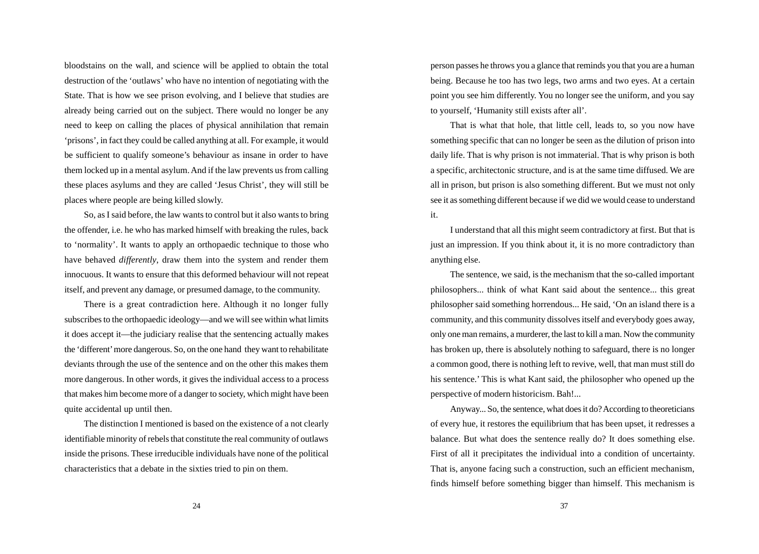bloodstains on the wall, and science will be applied to obtain the total destruction of the 'outlaws' who have no intention of negotiating with the State. That is how we see prison evolving, and I believe that studies are already being carried out on the subject. There would no longer be any need to keep on calling the places of physical annihilation that remain 'prisons', in fact they could be called anything at all. For example, it would be sufficient to qualify someone's behaviour as insane in order to have them locked up in a mental asylum. And if the law prevents us from calling these places asylums and they are called 'Jesus Christ', they will still be places where people are being killed slowly.

So, as I said before, the law wants to control but it also wants to bring the offender, i.e. he who has marked himself with breaking the rules, back to 'normality'. It wants to apply an orthopaedic technique to those who have behaved *differently*, draw them into the system and render them innocuous. It wants to ensure that this deformed behaviour will not repeat itself, and prevent any damage, or presumed damage, to the community.

There is a great contradiction here. Although it no longer fully subscribes to the orthopaedic ideology—and we will see within what limits it does accept it—the judiciary realise that the sentencing actually makes the 'different' more dangerous. So, on the one hand they want to rehabilitate deviants through the use of the sentence and on the other this makes them more dangerous. In other words, it gives the individual access to a process that makes him become more of a danger to society, which might have been quite accidental up until then.

The distinction I mentioned is based on the existence of a not clearly identifiable minority of rebels that constitute the real community of outlaws inside the prisons. These irreducible individuals have none of the political characteristics that a debate in the sixties tried to pin on them.

person passes he throws you a glance that reminds you that you are a human being. Because he too has two legs, two arms and two eyes. At a certain point you see him differently. You no longer see the uniform, and you say to yourself, 'Humanity still exists after all'.

That is what that hole, that little cell, leads to, so you now have something specific that can no longer be seen as the dilution of prison into daily life. That is why prison is not immaterial. That is why prison is both a specific, architectonic structure, and is at the same time diffused. We are all in prison, but prison is also something different. But we must not only see it as something different because if we did we would cease to understand it.

I understand that all this might seem contradictory at first. But that is just an impression. If you think about it, it is no more contradictory than anything else.

The sentence, we said, is the mechanism that the so-called important philosophers... think of what Kant said about the sentence... this great philosopher said something horrendous... He said, 'On an island there is a community, and this community dissolves itself and everybody goes away, only one man remains, a murderer, the last to kill a man. Now the community has broken up, there is absolutely nothing to safeguard, there is no longer a common good, there is nothing left to revive, well, that man must still do his sentence.' This is what Kant said, the philosopher who opened up the perspective of modern historicism. Bah!...

Anyway... So, the sentence, what does it do? According to theoreticians of every hue, it restores the equilibrium that has been upset, it redresses a balance. But what does the sentence really do? It does something else. First of all it precipitates the individual into a condition of uncertainty. That is, anyone facing such a construction, such an efficient mechanism, finds himself before something bigger than himself. This mechanism is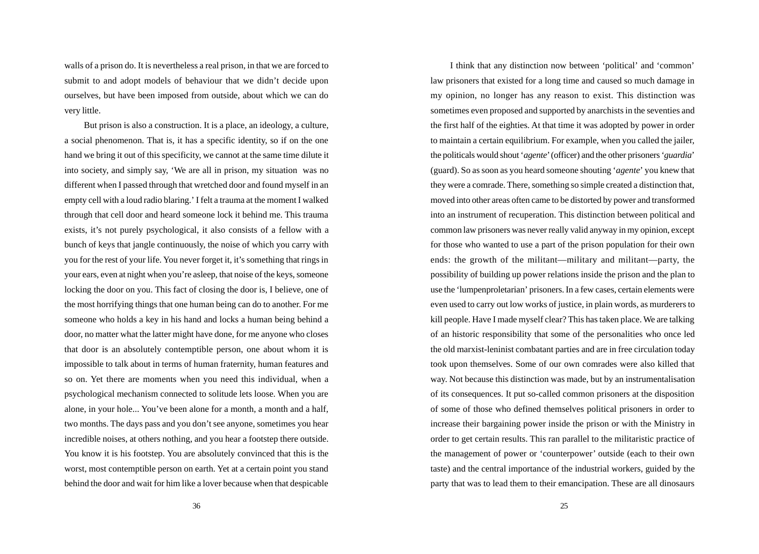walls of a prison do. It is nevertheless a real prison, in that we are forced to submit to and adopt models of behaviour that we didn't decide upon ourselves, but have been imposed from outside, about which we can do very little.

But prison is also a construction. It is a place, an ideology, a culture, a social phenomenon. That is, it has a specific identity, so if on the one hand we bring it out of this specificity, we cannot at the same time dilute it into society, and simply say, 'We are all in prison, my situation was no different when I passed through that wretched door and found myself in an empty cell with a loud radio blaring.' I felt a trauma at the moment I walked through that cell door and heard someone lock it behind me. This trauma exists, it's not purely psychological, it also consists of a fellow with a bunch of keys that jangle continuously, the noise of which you carry with you for the rest of your life. You never forget it, it's something that rings in your ears, even at night when you're asleep, that noise of the keys, someone locking the door on you. This fact of closing the door is, I believe, one of the most horrifying things that one human being can do to another. For me someone who holds a key in his hand and locks a human being behind a door, no matter what the latter might have done, for me anyone who closes that door is an absolutely contemptible person, one about whom it is impossible to talk about in terms of human fraternity, human features and so on. Yet there are moments when you need this individual, when a psychological mechanism connected to solitude lets loose. When you are alone, in your hole... You've been alone for a month, a month and a half, two months. The days pass and you don't see anyone, sometimes you hear incredible noises, at others nothing, and you hear a footstep there outside. You know it is his footstep. You are absolutely convinced that this is the worst, most contemptible person on earth. Yet at a certain point you stand behind the door and wait for him like a lover because when that despicable law prisoners that existed for a long time and caused so much damage in my opinion, no longer has any reason to exist. This distinction was sometimes even proposed and supported by anarchists in the seventies and the first half of the eighties. At that time it was adopted by power in order to maintain a certain equilibrium. For example, when you called the jailer, the politicals would shout '*agente*' (officer) and the other prisoners '*guardia*' (guard). So as soon as you heard someone shouting '*agente*' you knew that they were a comrade. There, something so simple created a distinction that, moved into other areas often came to be distorted by power and transformed into an instrument of recuperation. This distinction between political and common law prisoners was never really valid anyway in my opinion, except for those who wanted to use a part of the prison population for their own ends: the growth of the militant—military and militant—party, the possibility of building up power relations inside the prison and the plan to use the 'lumpenproletarian' prisoners. In a few cases, certain elements were even used to carry out low works of justice, in plain words, as murderers to kill people. Have I made myself clear? This has taken place. We are talking of an historic responsibility that some of the personalities who once led the old marxist-leninist combatant parties and are in free circulation today took upon themselves. Some of our own comrades were also killed that way. Not because this distinction was made, but by an instrumentalisation of its consequences. It put so-called common prisoners at the disposition of some of those who defined themselves political prisoners in order to increase their bargaining power inside the prison or with the Ministry in order to get certain results. This ran parallel to the militaristic practice of the management of power or 'counterpower' outside (each to their own taste) and the central importance of the industrial workers, guided by the party that was to lead them to their emancipation. These are all dinosaurs

I think that any distinction now between 'political' and 'common'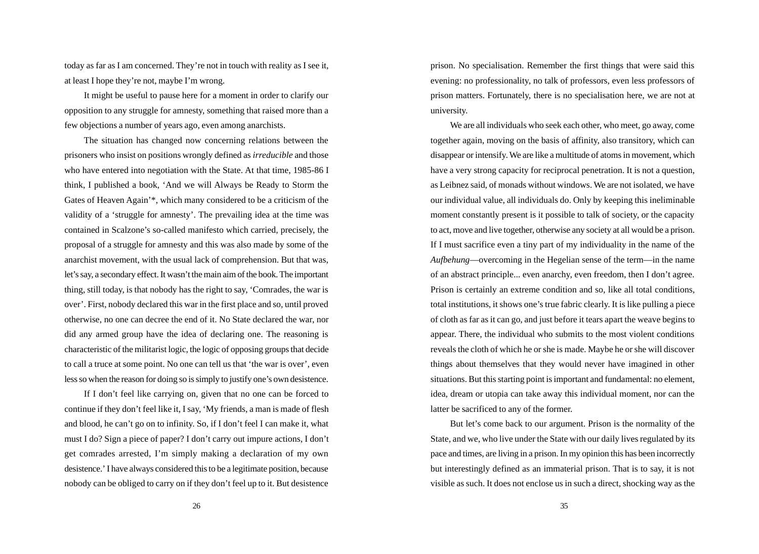today as far as I am concerned. They're not in touch with reality as I see it, at least I hope they're not, maybe I'm wrong.

It might be useful to pause here for a moment in order to clarify our opposition to any struggle for amnesty, something that raised more than a few objections a number of years ago, even among anarchists.

The situation has changed now concerning relations between the prisoners who insist on positions wrongly defined as *irreducible* and those who have entered into negotiation with the State. At that time, 1985-86 I think, I published a book, 'And we will Always be Ready to Storm the Gates of Heaven Again'\*, which many considered to be a criticism of the validity of a 'struggle for amnesty'. The prevailing idea at the time was contained in Scalzone's so-called manifesto which carried, precisely, the proposal of a struggle for amnesty and this was also made by some of the anarchist movement, with the usual lack of comprehension. But that was, let's say, a secondary effect. It wasn't the main aim of the book. The important thing, still today, is that nobody has the right to say, 'Comrades, the war is over'. First, nobody declared this war in the first place and so, until proved otherwise, no one can decree the end of it. No State declared the war, nor did any armed group have the idea of declaring one. The reasoning is characteristic of the militarist logic, the logic of opposing groups that decide to call a truce at some point. No one can tell us that 'the war is over', even less so when the reason for doing so is simply to justify one's own desistence.

If I don't feel like carrying on, given that no one can be forced to continue if they don't feel like it, I say, 'My friends, a man is made of flesh and blood, he can't go on to infinity. So, if I don't feel I can make it, what must I do? Sign a piece of paper? I don't carry out impure actions, I don't get comrades arrested, I'm simply making a declaration of my own desistence.' I have always considered this to be a legitimate position, because nobody can be obliged to carry on if they don't feel up to it. But desistence

prison. No specialisation. Remember the first things that were said this evening: no professionality, no talk of professors, even less professors of prison matters. Fortunately, there is no specialisation here, we are not at university.

We are all individuals who seek each other, who meet, go away, come together again, moving on the basis of affinity, also transitory, which can disappear or intensify. We are like a multitude of atoms in movement, which have a very strong capacity for reciprocal penetration. It is not a question, as Leibnez said, of monads without windows. We are not isolated, we have our individual value, all individuals do. Only by keeping this ineliminable moment constantly present is it possible to talk of society, or the capacity to act, move and live together, otherwise any society at all would be a prison. If I must sacrifice even a tiny part of my individuality in the name of the *Aufbehung*—overcoming in the Hegelian sense of the term—in the name of an abstract principle... even anarchy, even freedom, then I don't agree. Prison is certainly an extreme condition and so, like all total conditions, total institutions, it shows one's true fabric clearly. It is like pulling a piece of cloth as far as it can go, and just before it tears apart the weave begins to appear. There, the individual who submits to the most violent conditions reveals the cloth of which he or she is made. Maybe he or she will discover things about themselves that they would never have imagined in other situations. But this starting point is important and fundamental: no element, idea, dream or utopia can take away this individual moment, nor can the latter be sacrificed to any of the former.

But let's come back to our argument. Prison is the normality of the State, and we, who live under the State with our daily lives regulated by its pace and times, are living in a prison. In my opinion this has been incorrectly but interestingly defined as an immaterial prison. That is to say, it is not visible as such. It does not enclose us in such a direct, shocking way as the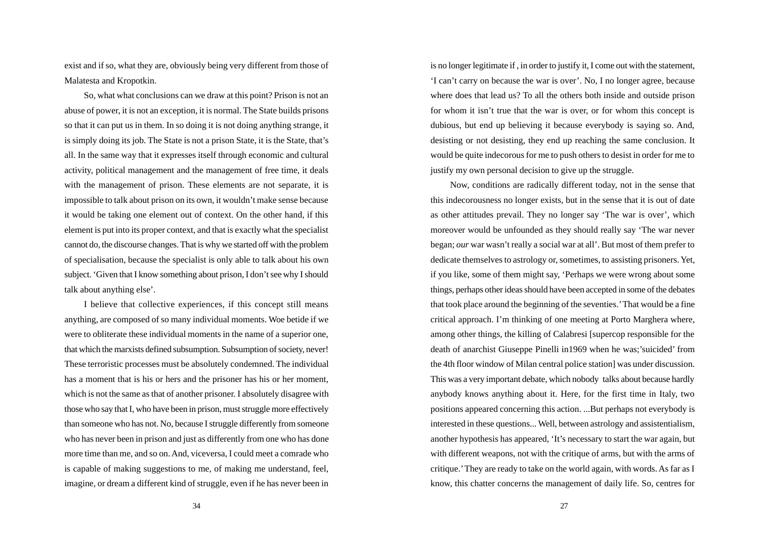exist and if so, what they are, obviously being very different from those of Malatesta and Kropotkin.

So, what what conclusions can we draw at this point? Prison is not an abuse of power, it is not an exception, it is normal. The State builds prisons so that it can put us in them. In so doing it is not doing anything strange, it is simply doing its job. The State is not a prison State, it is the State, that's all. In the same way that it expresses itself through economic and cultural activity, political management and the management of free time, it deals with the management of prison. These elements are not separate, it is impossible to talk about prison on its own, it wouldn't make sense because it would be taking one element out of context. On the other hand, if this element is put into its proper context, and that is exactly what the specialist cannot do, the discourse changes. That is why we started off with the problem of specialisation, because the specialist is only able to talk about his own subject. 'Given that I know something about prison, I don't see why I should talk about anything else'.

I believe that collective experiences, if this concept still means anything, are composed of so many individual moments. Woe betide if we were to obliterate these individual moments in the name of a superior one, that which the marxists defined subsumption. Subsumption of society, never! These terroristic processes must be absolutely condemned. The individual has a moment that is his or hers and the prisoner has his or her moment, which is not the same as that of another prisoner. I absolutely disagree with those who say that I, who have been in prison, must struggle more effectively than someone who has not. No, because I struggle differently from someone who has never been in prison and just as differently from one who has done more time than me, and so on. And, viceversa, I could meet a comrade who is capable of making suggestions to me, of making me understand, feel, imagine, or dream a different kind of struggle, even if he has never been in is no longer legitimate if , in order to justify it, I come out with the statement, 'I can't carry on because the war is over'. No, I no longer agree, because where does that lead us? To all the others both inside and outside prison for whom it isn't true that the war is over, or for whom this concept is dubious, but end up believing it because everybody is saying so. And, desisting or not desisting, they end up reaching the same conclusion. It would be quite indecorous for me to push others to desist in order for me to justify my own personal decision to give up the struggle.

Now, conditions are radically different today, not in the sense that this indecorousness no longer exists, but in the sense that it is out of date as other attitudes prevail. They no longer say 'The war is over', which moreover would be unfounded as they should really say 'The war never began; *our* war wasn't really a social war at all'. But most of them prefer to dedicate themselves to astrology or, sometimes, to assisting prisoners. Yet, if you like, some of them might say, 'Perhaps we were wrong about some things, perhaps other ideas should have been accepted in some of the debates that took place around the beginning of the seventies.' That would be a fine critical approach. I'm thinking of one meeting at Porto Marghera where, among other things, the killing of Calabresi [supercop responsible for the death of anarchist Giuseppe Pinelli in1969 when he was;'suicided' from the 4th floor window of Milan central police station] was under discussion. This was a very important debate, which nobody talks about because hardly anybody knows anything about it. Here, for the first time in Italy, two positions appeared concerning this action. ...But perhaps not everybody is interested in these questions... Well, between astrology and assistentialism, another hypothesis has appeared, 'It's necessary to start the war again, but with different weapons, not with the critique of arms, but with the arms of critique.' They are ready to take on the world again, with words. As far as I know, this chatter concerns the management of daily life. So, centres for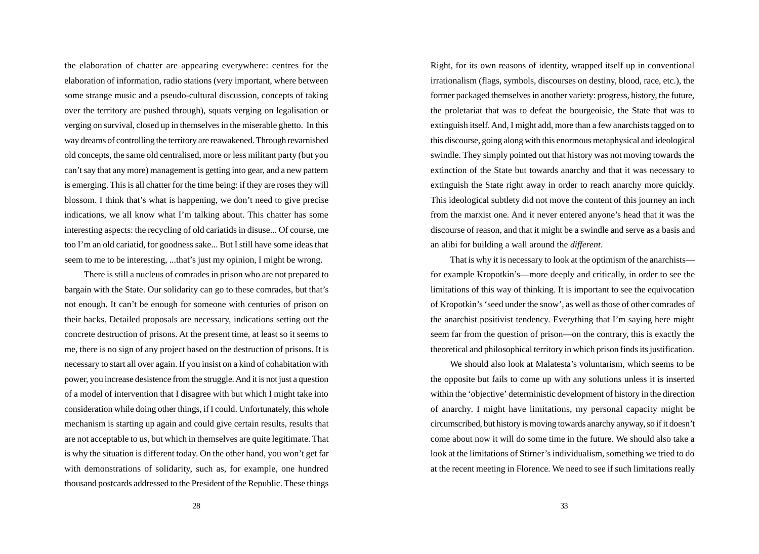the elaboration of chatter are appearing everywhere: centres for the elaboration of information, radio stations (very important, where between some strange music and a pseudo-cultural discussion, concepts of taking over the territory are pushed through), squats verging on legalisation or verging on survival, closed up in themselves in the miserable ghetto. In this way dreams of controlling the territory are reawakened. Through revarnished old concepts, the same old centralised, more or less militant party (but you can't say that any more) management is getting into gear, and a new pattern is emerging. This is all chatter for the time being: if they are roses they will blossom. I think that's what is happening, we don't need to give precise indications, we all know what I'm talking about. This chatter has some interesting aspects: the recycling of old cariatids in disuse... Of course, me too I'm an old cariatid, for goodness sake... But I still have some ideas that seem to me to be interesting, ...that's just my opinion, I might be wrong.

There is still a nucleus of comrades in prison who are not prepared to bargain with the State. Our solidarity can go to these comrades, but that's not enough. It can't be enough for someone with centuries of prison on their backs. Detailed proposals are necessary, indications setting out the concrete destruction of prisons. At the present time, at least so it seems to me, there is no sign of any project based on the destruction of prisons. It is necessary to start all over again. If you insist on a kind of cohabitation with power, you increase desistence from the struggle. And it is not just a question of a model of intervention that I disagree with but which I might take into consideration while doing other things, if I could. Unfortunately, this whole mechanism is starting up again and could give certain results, results that are not acceptable to us, but which in themselves are quite legitimate. That is why the situation is different today. On the other hand, you won't get far with demonstrations of solidarity, such as, for example, one hundred thousand postcards addressed to the President of the Republic. These things Right, for its own reasons of identity, wrapped itself up in conventional irrationalism (flags, symbols, discourses on destiny, blood, race, etc.), the former packaged themselves in another variety: progress, history, the future, the proletariat that was to defeat the bourgeoisie, the State that was to extinguish itself. And, I might add, more than a few anarchists tagged on to this discourse, going along with this enormous metaphysical and ideological swindle. They simply pointed out that history was not moving towards the extinction of the State but towards anarchy and that it was necessary to extinguish the State right away in order to reach anarchy more quickly. This ideological subtlety did not move the content of this journey an inch from the marxist one. And it never entered anyone's head that it was the discourse of reason, and that it might be a swindle and serve as a basis and an alibi for building a wall around the *different*.

That is why it is necessary to look at the optimism of the anarchists for example Kropotkin's—more deeply and critically, in order to see the limitations of this way of thinking. It is important to see the equivocation of Kropotkin's 'seed under the snow', as well as those of other comrades of the anarchist positivist tendency. Everything that I'm saying here might seem far from the question of prison—on the contrary, this is exactly the theoretical and philosophical territory in which prison finds its justification.

We should also look at Malatesta's voluntarism, which seems to be the opposite but fails to come up with any solutions unless it is inserted within the 'objective' deterministic development of history in the direction of anarchy. I might have limitations, my personal capacity might be circumscribed, but history is moving towards anarchy anyway, so if it doesn't come about now it will do some time in the future. We should also take a look at the limitations of Stirner's individualism, something we tried to do at the recent meeting in Florence. We need to see if such limitations really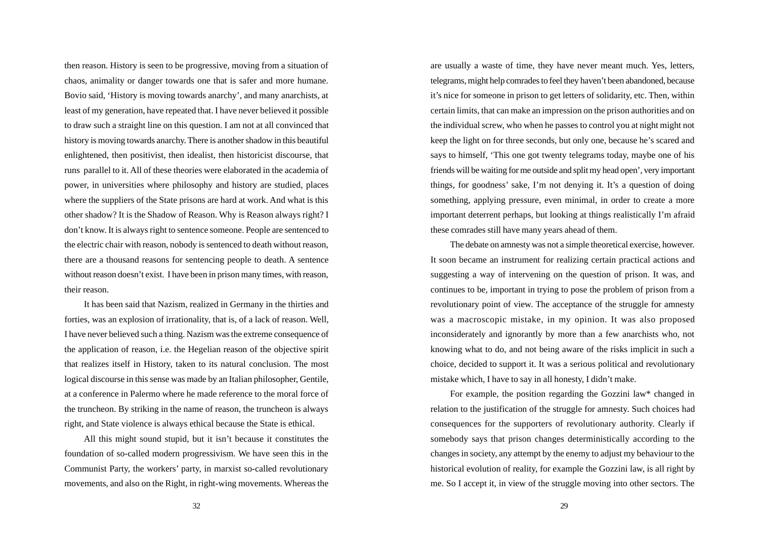then reason. History is seen to be progressive, moving from a situation of chaos, animality or danger towards one that is safer and more humane. Bovio said, 'History is moving towards anarchy', and many anarchists, at least of my generation, have repeated that. I have never believed it possible to draw such a straight line on this question. I am not at all convinced that history is moving towards anarchy. There is another shadow in this beautiful enlightened, then positivist, then idealist, then historicist discourse, that runs parallel to it. All of these theories were elaborated in the academia of power, in universities where philosophy and history are studied, places where the suppliers of the State prisons are hard at work. And what is this other shadow? It is the Shadow of Reason. Why is Reason always right? I don't know. It is always right to sentence someone. People are sentenced to the electric chair with reason, nobody is sentenced to death without reason, there are a thousand reasons for sentencing people to death. A sentence without reason doesn't exist. I have been in prison many times, with reason, their reason.

It has been said that Nazism, realized in Germany in the thirties and forties, was an explosion of irrationality, that is, of a lack of reason. Well, I have never believed such a thing. Nazism was the extreme consequence of the application of reason, i.e. the Hegelian reason of the objective spirit that realizes itself in History, taken to its natural conclusion. The most logical discourse in this sense was made by an Italian philosopher, Gentile, at a conference in Palermo where he made reference to the moral force of the truncheon. By striking in the name of reason, the truncheon is always right, and State violence is always ethical because the State is ethical.

All this might sound stupid, but it isn't because it constitutes the foundation of so-called modern progressivism. We have seen this in the Communist Party, the workers' party, in marxist so-called revolutionary movements, and also on the Right, in right-wing movements. Whereas the are usually a waste of time, they have never meant much. Yes, letters, telegrams, might help comrades to feel they haven't been abandoned, because it's nice for someone in prison to get letters of solidarity, etc. Then, within certain limits, that can make an impression on the prison authorities and on the individual screw, who when he passes to control you at night might not keep the light on for three seconds, but only one, because he's scared and says to himself, 'This one got twenty telegrams today, maybe one of his friends will be waiting for me outside and split my head open', very important things, for goodness' sake, I'm not denying it. It's a question of doing something, applying pressure, even minimal, in order to create a more important deterrent perhaps, but looking at things realistically I'm afraid these comrades still have many years ahead of them.

The debate on amnesty was not a simple theoretical exercise, however. It soon became an instrument for realizing certain practical actions and suggesting a way of intervening on the question of prison. It was, and continues to be, important in trying to pose the problem of prison from a revolutionary point of view. The acceptance of the struggle for amnesty was a macroscopic mistake, in my opinion. It was also proposed inconsiderately and ignorantly by more than a few anarchists who, not knowing what to do, and not being aware of the risks implicit in such a choice, decided to support it. It was a serious political and revolutionary mistake which, I have to say in all honesty, I didn't make.

For example, the position regarding the Gozzini law\* changed in relation to the justification of the struggle for amnesty. Such choices had consequences for the supporters of revolutionary authority. Clearly if somebody says that prison changes deterministically according to the changes in society, any attempt by the enemy to adjust my behaviour to the historical evolution of reality, for example the Gozzini law, is all right by me. So I accept it, in view of the struggle moving into other sectors. The